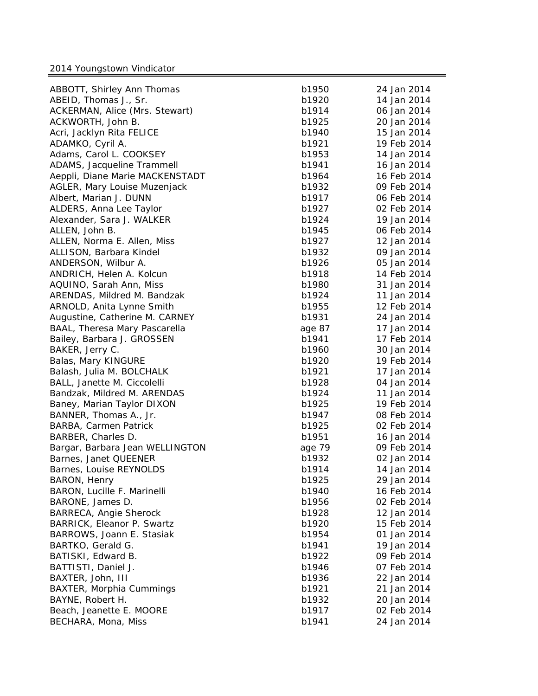| ABBOTT, Shirley Ann Thomas      | b1950  | 24 Jan 2014 |
|---------------------------------|--------|-------------|
| ABEID, Thomas J., Sr.           | b1920  | 14 Jan 2014 |
| ACKERMAN, Alice (Mrs. Stewart)  | b1914  | 06 Jan 2014 |
| ACKWORTH, John B.               | b1925  | 20 Jan 2014 |
| Acri, Jacklyn Rita FELICE       | b1940  | 15 Jan 2014 |
| ADAMKO, Cyril A.                | b1921  | 19 Feb 2014 |
| Adams, Carol L. COOKSEY         | b1953  | 14 Jan 2014 |
| ADAMS, Jacqueline Trammell      | b1941  | 16 Jan 2014 |
| Aeppli, Diane Marie MACKENSTADT | b1964  | 16 Feb 2014 |
| AGLER, Mary Louise Muzenjack    | b1932  | 09 Feb 2014 |
| Albert, Marian J. DUNN          | b1917  | 06 Feb 2014 |
| ALDERS, Anna Lee Taylor         | b1927  | 02 Feb 2014 |
| Alexander, Sara J. WALKER       | b1924  | 19 Jan 2014 |
| ALLEN, John B.                  | b1945  | 06 Feb 2014 |
| ALLEN, Norma E. Allen, Miss     | b1927  | 12 Jan 2014 |
| ALLISON, Barbara Kindel         | b1932  | 09 Jan 2014 |
| ANDERSON, Wilbur A.             | b1926  | 05 Jan 2014 |
| ANDRICH, Helen A. Kolcun        | b1918  | 14 Feb 2014 |
| AQUINO, Sarah Ann, Miss         | b1980  | 31 Jan 2014 |
| ARENDAS, Mildred M. Bandzak     | b1924  | 11 Jan 2014 |
| ARNOLD, Anita Lynne Smith       | b1955  | 12 Feb 2014 |
| Augustine, Catherine M. CARNEY  | b1931  | 24 Jan 2014 |
| BAAL, Theresa Mary Pascarella   | age 87 | 17 Jan 2014 |
| Bailey, Barbara J. GROSSEN      | b1941  | 17 Feb 2014 |
| BAKER, Jerry C.                 | b1960  | 30 Jan 2014 |
| Balas, Mary KINGURE             | b1920  | 19 Feb 2014 |
| Balash, Julia M. BOLCHALK       | b1921  | 17 Jan 2014 |
| BALL, Janette M. Ciccolelli     | b1928  | 04 Jan 2014 |
| Bandzak, Mildred M. ARENDAS     | b1924  | 11 Jan 2014 |
| Baney, Marian Taylor DIXON      | b1925  | 19 Feb 2014 |
| BANNER, Thomas A., Jr.          | b1947  | 08 Feb 2014 |
| BARBA, Carmen Patrick           | b1925  | 02 Feb 2014 |
| BARBER, Charles D.              | b1951  | 16 Jan 2014 |
| Bargar, Barbara Jean WELLINGTON | age 79 | 09 Feb 2014 |
| Barnes, Janet QUEENER           | b1932  | 02 Jan 2014 |
| Barnes, Louise REYNOLDS         | b1914  | 14 Jan 2014 |
| BARON, Henry                    | b1925  | 29 Jan 2014 |
| BARON, Lucille F. Marinelli     | b1940  | 16 Feb 2014 |
| BARONE, James D.                | b1956  | 02 Feb 2014 |
| <b>BARRECA, Angie Sherock</b>   | b1928  | 12 Jan 2014 |
| BARRICK, Eleanor P. Swartz      | b1920  | 15 Feb 2014 |
| BARROWS, Joann E. Stasiak       | b1954  | 01 Jan 2014 |
| BARTKO, Gerald G.               | b1941  | 19 Jan 2014 |
| BATISKI, Edward B.              | b1922  | 09 Feb 2014 |
| BATTISTI, Daniel J.             | b1946  | 07 Feb 2014 |
| BAXTER, John, III               | b1936  | 22 Jan 2014 |
| BAXTER, Morphia Cummings        | b1921  | 21 Jan 2014 |
| BAYNE, Robert H.                | b1932  | 20 Jan 2014 |
| Beach, Jeanette E. MOORE        | b1917  | 02 Feb 2014 |
| BECHARA, Mona, Miss             | b1941  | 24 Jan 2014 |
|                                 |        |             |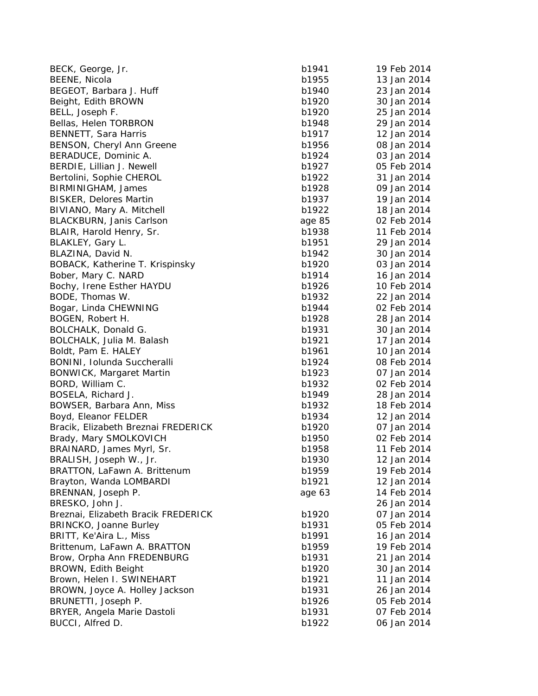| BECK, George, Jr.                   | b1941  | 19 Feb 2014 |
|-------------------------------------|--------|-------------|
| BEENE, Nicola                       | b1955  | 13 Jan 2014 |
| BEGEOT, Barbara J. Huff             | b1940  | 23 Jan 2014 |
| Beight, Edith BROWN                 | b1920  | 30 Jan 2014 |
| BELL, Joseph F.                     | b1920  | 25 Jan 2014 |
| Bellas, Helen TORBRON               | b1948  | 29 Jan 2014 |
| BENNETT, Sara Harris                | b1917  | 12 Jan 2014 |
| BENSON, Cheryl Ann Greene           | b1956  | 08 Jan 2014 |
| BERADUCE, Dominic A.                | b1924  | 03 Jan 2014 |
| BERDIE, Lillian J. Newell           | b1927  | 05 Feb 2014 |
| Bertolini, Sophie CHEROL            | b1922  | 31 Jan 2014 |
| BIRMINIGHAM, James                  | b1928  | 09 Jan 2014 |
| <b>BISKER, Delores Martin</b>       | b1937  | 19 Jan 2014 |
| BIVIANO, Mary A. Mitchell           | b1922  | 18 Jan 2014 |
| BLACKBURN, Janis Carlson            | age 85 | 02 Feb 2014 |
| BLAIR, Harold Henry, Sr.            | b1938  | 11 Feb 2014 |
| BLAKLEY, Gary L.                    | b1951  | 29 Jan 2014 |
| BLAZINA, David N.                   | b1942  | 30 Jan 2014 |
| BOBACK, Katherine T. Krispinsky     | b1920  | 03 Jan 2014 |
| Bober, Mary C. NARD                 | b1914  | 16 Jan 2014 |
| Bochy, Irene Esther HAYDU           | b1926  | 10 Feb 2014 |
| BODE, Thomas W.                     | b1932  | 22 Jan 2014 |
| Bogar, Linda CHEWNING               | b1944  | 02 Feb 2014 |
| BOGEN, Robert H.                    | b1928  | 28 Jan 2014 |
| BOLCHALK, Donald G.                 | b1931  | 30 Jan 2014 |
| BOLCHALK, Julia M. Balash           | b1921  | 17 Jan 2014 |
| Boldt, Pam E. HALEY                 | b1961  | 10 Jan 2014 |
| BONINI, Iolunda Succheralli         | b1924  | 08 Feb 2014 |
| <b>BONWICK, Margaret Martin</b>     | b1923  | 07 Jan 2014 |
| BORD, William C.                    | b1932  | 02 Feb 2014 |
| BOSELA, Richard J.                  | b1949  | 28 Jan 2014 |
| BOWSER, Barbara Ann, Miss           | b1932  | 18 Feb 2014 |
| Boyd, Eleanor FELDER                | b1934  | 12 Jan 2014 |
| Bracik, Elizabeth Breznai FREDERICK | b1920  | 07 Jan 2014 |
| Brady, Mary SMOLKOVICH              | b1950  | 02 Feb 2014 |
| BRAINARD, James Myrl, Sr.           | b1958  | 11 Feb 2014 |
| BRALISH, Joseph W., Jr.             | b1930  | 12 Jan 2014 |
| BRATTON, LaFawn A. Brittenum        | b1959  | 19 Feb 2014 |
| Brayton, Wanda LOMBARDI             | b1921  | 12 Jan 2014 |
| BRENNAN, Joseph P.                  | age 63 | 14 Feb 2014 |
| BRESKO, John J.                     |        | 26 Jan 2014 |
| Breznai, Elizabeth Bracik FREDERICK | b1920  | 07 Jan 2014 |
| BRINCKO, Joanne Burley              | b1931  | 05 Feb 2014 |
| BRITT, Ke'Aira L., Miss             | b1991  | 16 Jan 2014 |
| Brittenum, LaFawn A. BRATTON        | b1959  | 19 Feb 2014 |
| Brow, Orpha Ann FREDENBURG          | b1931  | 21 Jan 2014 |
| BROWN, Edith Beight                 | b1920  | 30 Jan 2014 |
| Brown, Helen I. SWINEHART           | b1921  | 11 Jan 2014 |
| BROWN, Joyce A. Holley Jackson      | b1931  | 26 Jan 2014 |
| BRUNETTI, Joseph P.                 | b1926  | 05 Feb 2014 |
| BRYER, Angela Marie Dastoli         | b1931  | 07 Feb 2014 |
| BUCCI, Alfred D.                    | b1922  | 06 Jan 2014 |
|                                     |        |             |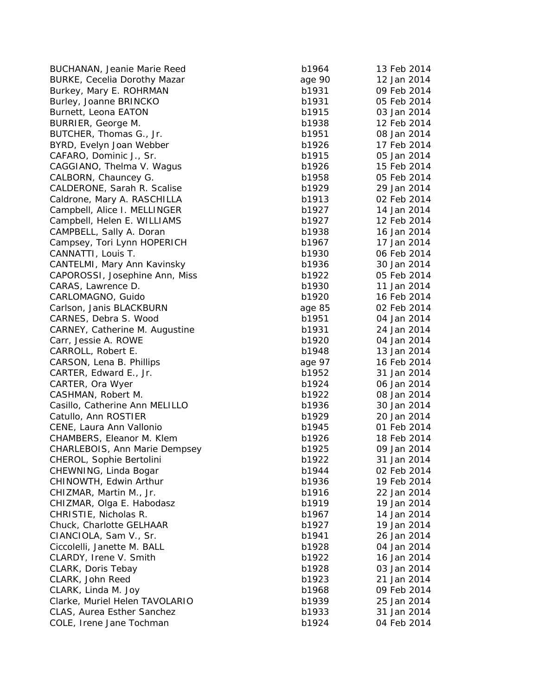BUCHANAN, Jeanie Marie Reed b1964 13 Feb 2014 13 Feb 2014 13 Feb 2014 13 Feb 2014 13 Feb 2014 13 Feb 2014 13 F BURKE, Cecelia Dorothy Mazar Burkey, Mary E. ROHRMAN b1931 b1931 b1931 b1931 b1931 b1931 b1931 b1931 b1931 b1931 b1931 b1931 b1931 b1931 b1 Burley, Joanne BRINCKO b1931 b1931 b1931 b1931 b1931 b1931 b1931 b1931 b1931 b1931 b1931 b1931 b1931 b1931 b19 Burnett, Leona EATON b1915 b1915 b1915 b1915 b1915 b1915 b1915 b1915 b1915 b1915 b1915 b1915 b1915 b1915 b1915 BURRIER, Geor BUTCHER, Thomas G., Jr. b1951 08 Jan 2014 1951 08 Jan 2014 1951 2014 1951 2014 1951 2014 1951 2014 1951 2014 1 BYRD, Evelyn Joan Webbe CAFARO, Dominic J., Sr. b1915 05 Jan 2014 1915 05 Jan 2014 1915 05 Jan 2014 1915 05 Jan 2014 1915 05 Jan 2014 1915 05 Jan 2014 1915 05 Jan 2014 1915 05 Jan 2014 1915 05 Jan 2014 1915 05 Jan 2014 1915 05 Jan 2014 1915 05 Ja CAGGIANO, Thelma V. Wa CALBORN, Chauncey G. b1958 b1958 b1958 b1958 b1958 b1958 b1958 b1958 b1958 b1958 b1958 b1958 b1958 b1958 b1958 CALDERONE, Sarah R. Scalise b1929 29 Jan 2014 Caldrone, Mary A. RASCHILLA b1913 b1913 b1913 b1913 b1913 b1913 b1913 b1913 b1913 b1913 b1913 b1913 b1913 b191 Campbell, Alice I. MELLINGER b1927 b1927 b1927 b1927 b1927 b1937 b1937 b1937 b1937 b1937 b1937 b1937 b1937 b19 Campbell, Helen E. WILLIAMS b1927 12 Feb 2014 CAMPBELL, Sally A. Doran b1938 16 Jan 2014 16 Jan 2014 16 Jan 2014 16 Jan 2014 16 Jan 2014 16 Jan 2014 16 Jan 2014 16 Jan 2014 16 Jan 2014 16 Jan 2014 16 Jan 2014 16 Jan 2014 16 Jan 2014 16 Jan 2014 16 Jan 2014 16 Jan 2014 Campsey, Tori Lynn HOPERICH b1967 17 b1967 17 b1967 17 b1967 17 Jan 2014 17 Jan 2014 17 Jan 2014 17 Jan 2014 1 CANNATTI, Louis T. b1930 b1930 b1930 b1930 b1930 b1930 b1930 b1930 b1930 b1930 b1930 b1930 b1930 b1930 b1930 b1930 b1930 b1930 b1930 b1930 b1930 b1930 b1930 b1930 b1930 b1930 b1930 b1930 b1930 b1930 b1930 b1930 b1930 b1930 CANTELMI, Mary Ann Kavinsky and the state of the b1936 is a b1936 is a b1936 30 Jan 2014 and 30 Jan 2014 and 30  $\mu$ CAPOROSSI, Josephine Ann, Miss b1922 b1922 b1922 b1922 b1922 b1932 b1922 b1922 b1922 b1922 b1922 b19 CARAS, Lawrence D. b1930 11 and 2014 11 Jan 2014 12:30 12:30 12:30 13:30 13:30 13:30 13:30 13:30 13:30 13:30 13:30 13:30 13:30 13:30 13:30 13:30 13:30 13:30 13:30 13:30 13:30 13:30 13:30 13:30 13:30 13:30 13:30 13:30 13:30 CARLOMAGNO, Guido b1920 16 Feb 2014 16 Feb 2014 16 Feb 2014 16 Feb 2014 16 Feb 2014 16 Feb 2014 16 Feb 2014 16 F Carlson, Janis BLACKBURN CARNES, Debra S. Wood b1951 b1951 b1951 b1951 b1951 b1951 b1951 b1951 b1951 b1951 b1951 b1951 b1951 b1951 b195 CARNEY, Catherine M. Au gustine b1931 24 Jan 2014 Carr, Jessie A. ROWE b1920 b1920 b1920 b1920 b1930 b1920 b1930 b1930 b1930 b1930 b1930 b1930 b1930 b1930 b1930 CARROLL, Robert E. b1948 13 Jan 2014 13 Jan 2014 13 Jan 2014 13 Jan 2014 13 Jan 2014 13 Jan 2014 13 Jan 2014 13 Jan 2014 13 Jan 2014 13 Jan 2014 13 Jan 2014 13 Jan 2014 13 Jan 2014 13 Jan 2014 13 Jan 2014 13 Jan 2014 13 Ja CARSON, Lena B. Phillips CARTER, Edward E., Jr. b1952 31 Jan 2014 31 Jan 2014 31 Jan 2014 31 Jan 2014 31 Jan 2014 31 Jan 2014 31 Jan 20 CARTER, Ora Wye CASHMAN, Robert M. b1922 08 Jan 2014 08 Jan 2014 19:30 19:30 19:30 19:30 19:30 19:30 19:30 19:30 19:30 19:30 19:30 19:30 19:30 19:30 19:30 19:30 19:30 19:30 19:30 19:30 19:30 19:30 19:30 19:30 19:30 19:30 19:30 19:30 19:30 Casillo, Catherine Ann MELILLO b1936 b1936 b1936 b1936 b1936 b1936 b1936 b1936 b1936 b1936 b1936 b1936 b1936 b Catullo, Ann ROSTIER b1929 b1929 b1929 b1929 b1939 b1929 b1939 b1939 b1939 b1939 b1939 b1939 b1939 b1939 b1939 CENE, Laura Ann Vallonio b1945 on the b1945 of the b1945 of the b1945 of the b1945 of the b1945 of the b1945 o CHAMBERS, Eleanor M. Klem b1926 1927 b1936 b1936 b1936 b1936 b1936 b1936 b1936 b1936 b1936 b1936 b1936 b1936 b CHARLEBOIS, Ann Marie Dempsey b1925 b1925 b1935 b1935 b1935 b1935 b1935 b1935 b1935 b1935 b1935 b1935 b1935 b1 CHEROL, Sophie Bertolini and an annual b1922 and b1922 31 and b1922 31 Jan 2014 and b1922 31 Jan 2014 and b192 CHEWNING, Linda Bo g a CHINOWTH, Edwin Arthu CHIZMAR, Martin M., Jr. b1916 22 Jan 2014 22 Jan 2014 22 Jan 2014 22 Jan 2014 22 Jan 2014 22 Jan 2014 22 Jan 20 CHIZMAR, Ol ga E. Habodasz b1919 19 Jan 2014 CHRISTIE, Nicholas R. b1967 14 Jan 2014 14 Jan 2014 14 Jan 2014 14 Jan 2014 14 Jan 2014 14 Jan 2014 14 Jan 201 Chuck, Charlotte GELHAAR b1927 b1927 b1927 b1927 b1927 b1927 b1927 b1927 b1937 b1937 b1937 b1937 b1937 b1937 b CIANCIOLA, Sam V., Sr. b1941 26 Jan 2014 26 Jan 2014 26 Jan 2014 26 Jan 2014 26 Jan 2014 26 Jan 2014 26 Jan 20 Ciccolelli, Janette M. BALL b1928 b1928 b1928 b1928 b1938 b1938 b1938 b1938 b1938 b1938 b1938 b1938 b1938 b193 CLARDY, Irene V. Smith b1922 16 Jan 2014 16 Jan 2014 16 Jan 2014 16 Jan 2014 16 Jan 2014 16 Jan 2014 16 Jan 20 CLARK, Doris Tebay b1928 03 Jan 2014 CLARK, John Reed b1923 21 Jan 2014 21 Jan 2014 21 Jan 2014 21 Jan 2014 21 Jan 2014 21 Jan 2014 21 Jan 2014 21 Jan 2014 21 Jan 2014 21 Jan 2014 21 Jan 2014 21 Jan 2014 21 Jan 2014 21 Jan 2014 21 Jan 2014 21 Jan 2014 21 Jan CLARK, Linda M. Joy **b1968 Feb 2014** b1968 b1968 b1968 b1968 b1968 b1968 b1968 b1968 b1968 b1968 b1968 b1968 b1968 Clarke, Muriel Helen TAVOLARIO **b**<sup>1</sup> CLAS, Aurea Esther Sanchez b1933 31 b1933 b1933 b1933 b1933 b1933 b1933 b1933 b1933 b1933 b1933 b1933 b1933 b1933 b1933 b1933 b1933 b1933 b1933 b1933 b1933 b1933 b1933 b1933 b1933 b1933 b1933 b1933 b1933 b1933 b1933 b1933 COLE, Irene Jane Tochman b1924 of the 2014 of the 2014 of the 2014 of the 2014 of the 2014 of the 2014 of the 2014 of the 2014 of the 2014 of the 2014 of the 2014 of the 2014 of the 2014 of the 2014 of the 2014 of the 2014

| anie Marie Reed            | b1964  | 13 Feb 2014 |
|----------------------------|--------|-------------|
| Dorothy Mazar              | age 90 | 12 Jan 2014 |
| . ROHRMAN                  | b1931  | 09 Feb 2014 |
| <b>BRINCKO</b>             | b1931  | 05 Feb 2014 |
| <b>EATON</b>               | b1915  | 03 Jan 2014 |
| ge M.                      | b1938  | 12 Feb 2014 |
| nas G., Jr.                | b1951  | 08 Jan 2014 |
| oan Webber                 | b1926  | 17 Feb 2014 |
| ic J., Sr.                 | b1915  | 05 Jan 2014 |
| elma V. Wagus              | b1926  | 15 Feb 2014 |
| uncey G.                   | b1958  | 05 Feb 2014 |
| arah R. Scalise            | b1929  | 29 Jan 2014 |
| A. RASCHILLA               | b1913  | 02 Feb 2014 |
| I. MELLINGER               | b1927  | 14 Jan 2014 |
| n E. WILLIAMS              | b1927  | 12 Feb 2014 |
| ly A. Doran                | b1938  | 16 Jan 2014 |
| Lynn HOPERICH              | b1967  | 17 Jan 2014 |
| is T.                      | b1930  | 06 Feb 2014 |
| y Ann Kavinsky             | b1936  | 30 Jan 2014 |
|                            | b1922  | 05 Feb 2014 |
| sephine Ann, Miss<br>ce D. | b1930  | 11 Jan 2014 |
|                            |        |             |
| Guido                      | b1920  | 16 Feb 2014 |
| <b>BLACKBURN</b>           | age 85 | 02 Feb 2014 |
| S. Wood                    | b1951  | 04 Jan 2014 |
| rine M. Augustine          | b1931  | 24 Jan 2014 |
| ROWE                       | b1920  | 04 Jan 2014 |
| ert E.                     | b1948  | 13 Jan 2014 |
| <b>B. Phillips</b>         | age 97 | 16 Feb 2014 |
| d E., Jr.                  | b1952  | 31 Jan 2014 |
| /yer                       | b1924  | 06 Jan 2014 |
| ert M.                     | b1922  | 08 Jan 2014 |
| ne Ann MELILLO             | b1936  | 30 Jan 2014 |
| )STIER                     | b1929  | 20 Jan 2014 |
| <b>n Vallonio</b>          | b1945  | 01 Feb 2014 |
| anor M. Klem               | b1926  | 18 Feb 2014 |
| Ann Marie Dempsey          | b1925  | 09 Jan 2014 |
| e Bertolini                | b1922  | 31 Jan 2014 |
| ıda Bogar                  | b1944  | 02 Feb 2014 |
| win Arthur                 | b1936  | 19 Feb 2014 |
| in M., Jr.                 | b1916  | 22 Jan 2014 |
| E. Habodasz                | b1919  | 19 Jan 2014 |
| ıolas R.                   | b1967  | 14 Jan 2014 |
| e GELHAAR:                 | b1927  | 19 Jan 2014 |
| m V., Sr.                  | b1941  | 26 Jan 2014 |
| te M. BALL                 | b1928  | 04 Jan 2014 |
| V. Smith                   | b1922  | 16 Jan 2014 |
| ebay                       | b1928  | 03 Jan 2014 |
| eed                        | b1923  | 21 Jan 2014 |
| 1. Joy                     | b1968  | 09 Feb 2014 |
| lelen TAVOLARIO            | b1939  | 25 Jan 2014 |
| ther Sanchez               | b1933  | 31 Jan 2014 |
|                            | b1924  | 04 Feb 2014 |
| he Tochman                 |        |             |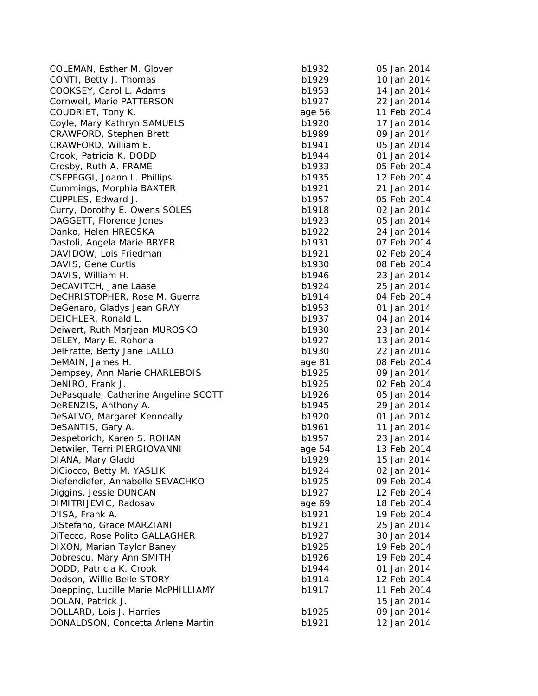| COLEMAN, Esther M. Glover            | b1932  | 05 Jan 2014 |
|--------------------------------------|--------|-------------|
| CONTI, Betty J. Thomas               | b1929  | 10 Jan 2014 |
| COOKSEY, Carol L. Adams              | b1953  | 14 Jan 2014 |
| Cornwell, Marie PATTERSON            | b1927  | 22 Jan 2014 |
| COUDRIET, Tony K.                    | age 56 | 11 Feb 2014 |
| Coyle, Mary Kathryn SAMUELS          | b1920  | 17 Jan 2014 |
| CRAWFORD, Stephen Brett              | b1989  | 09 Jan 2014 |
| CRAWFORD, William E.                 | b1941  | 05 Jan 2014 |
| Crook, Patricia K. DODD              | b1944  | 01 Jan 2014 |
| Crosby, Ruth A. FRAME                | b1933  | 05 Feb 2014 |
| CSEPEGGI, Joann L. Phillips          | b1935  | 12 Feb 2014 |
| Cummings, Morphia BAXTER             | b1921  | 21 Jan 2014 |
| CUPPLES, Edward J.                   | b1957  | 05 Feb 2014 |
| Curry, Dorothy E. Owens SOLES        | b1918  | 02 Jan 2014 |
| DAGGETT, Florence Jones              | b1923  | 05 Jan 2014 |
| Danko, Helen HRECSKA                 | b1922  | 24 Jan 2014 |
| Dastoli, Angela Marie BRYER          | b1931  | 07 Feb 2014 |
| DAVIDOW, Lois Friedman               | b1921  | 02 Feb 2014 |
| DAVIS, Gene Curtis                   | b1930  | 08 Feb 2014 |
| DAVIS, William H.                    | b1946  | 23 Jan 2014 |
| DeCAVITCH, Jane Laase                | b1924  | 25 Jan 2014 |
| DeCHRISTOPHER, Rose M. Guerra        | b1914  | 04 Feb 2014 |
| DeGenaro, Gladys Jean GRAY           | b1953  | 01 Jan 2014 |
| DEICHLER, Ronald L.                  | b1937  | 04 Jan 2014 |
| Deiwert, Ruth Marjean MUROSKO        | b1930  | 23 Jan 2014 |
| DELEY, Mary E. Rohona                | b1927  | 13 Jan 2014 |
| DelFratte, Betty Jane LALLO          | b1930  | 22 Jan 2014 |
| DeMAIN, James H.                     | age 81 | 08 Feb 2014 |
| Dempsey, Ann Marie CHARLEBOIS        | b1925  | 09 Jan 2014 |
| DeNIRO, Frank J.                     | b1925  | 02 Feb 2014 |
| DePasquale, Catherine Angeline SCOTT | b1926  | 05 Jan 2014 |
| DeRENZIS, Anthony A.                 | b1945  | 29 Jan 2014 |
| DeSALVO, Margaret Kenneally          | b1920  | 01 Jan 2014 |
| DeSANTIS, Gary A.                    | b1961  | 11 Jan 2014 |
| Despetorich, Karen S. ROHAN          | b1957  | 23 Jan 2014 |
| Detwiler, Terri PIERGIOVANNI         | age 54 | 13 Feb 2014 |
| DIANA, Mary Gladd                    | b1929  | 15 Jan 2014 |
| DiCiocco, Betty M. YASLIK            | b1924  | 02 Jan 2014 |
| Diefendiefer, Annabelle SEVACHKO     | b1925  | 09 Feb 2014 |
|                                      |        |             |
| Diggins, Jessie DUNCAN               | b1927  | 12 Feb 2014 |
| DIMITRIJEVIC, Radosav                | age 69 | 18 Feb 2014 |
| D'ISA, Frank A.                      | b1921  | 19 Feb 2014 |
| DiStefano, Grace MARZIANI            | b1921  | 25 Jan 2014 |
| DiTecco, Rose Polito GALLAGHER       | b1927  | 30 Jan 2014 |
| DIXON, Marian Taylor Baney           | b1925  | 19 Feb 2014 |
| Dobrescu, Mary Ann SMITH             | b1926  | 19 Feb 2014 |
| DODD, Patricia K. Crook              | b1944  | 01 Jan 2014 |
| Dodson, Willie Belle STORY           | b1914  | 12 Feb 2014 |
| Doepping, Lucille Marie McPHILLIAMY  | b1917  | 11 Feb 2014 |
| DOLAN, Patrick J.                    |        | 15 Jan 2014 |
| DOLLARD, Lois J. Harries             | b1925  | 09 Jan 2014 |
| DONALDSON, Concetta Arlene Martin    | b1921  | 12 Jan 2014 |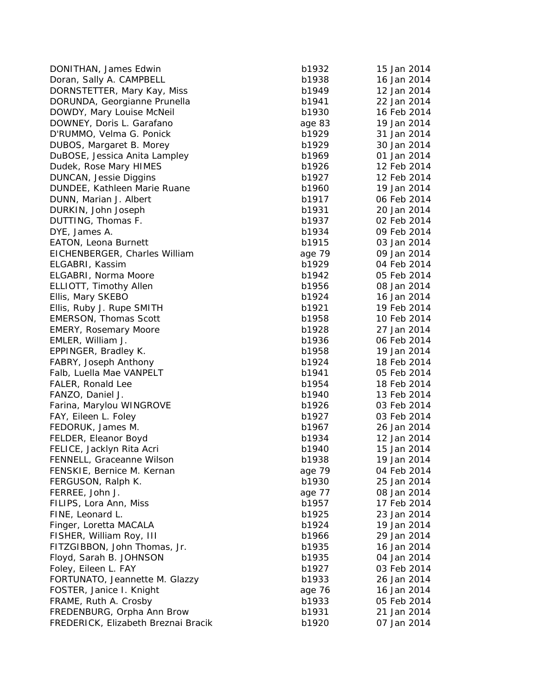DONITHAN, James Edwin b1932 15 Jan 2014 Doran, Sally A. CAMPBELL b1 DORNSTETTER, Mary Kay, Miss b1 DORUNDA, Geor gianne Prunella b1941 22 Jan 2014 DOWDY, Mary Louise McNeil b1930 16 Feb 2014 DOWNEY, Doris L. Garafano D'RUMMO, Velma G. Ponick b1 DUBOS, Mar garet B. Morey b1929 30 Jan 2014 DuBOSE, Jessica Anita Lampley b1 Dudek, Rose Mary HIMES b1 DUNCAN, Jessie Diggins b1 DUNDEE, Kathleen Marie Ruane b1 DUNN, Marian J. Albert b1917 b1917 b1917 b1917 b1917 b1917 b1917 b1917 b1917 b1917 b1917 b1917 b1917 b1917 b19 DURKIN, John Joseph b1 DUTTING, Thomas F. b1937 b1937 b1937 b1937 b1937 b1937 b1937 b1937 b1937 b1937 b1937 b1937 b1937 b1937 b1937 b1937 b1937 b1937 b1937 b1937 b1937 b1937 b1937 b1937 b1937 b1937 b1937 b1937 b1937 b1937 b1937 b1937 b1937 b1937 DYE, James A. b1934 69 Feb 2014 09 Feb 2014 69 Feb 2014 69 Feb 2014 69 Feb 2014 69 Feb 2014 69 Feb 2014 69 Feb 2014 69 Feb 2014 69 Feb 2014 69 Feb 2014 69 Feb 2014 69 Feb 2014 69 Feb 2014 69 Feb 2014 69 Feb 2014 69 Feb 201 EATON, Leona Burnett b1915 b1915 b1915 b1915 b1915 b1915 b1915 b1915 b1915 b1915 b1915 b1915 b1915 b1915 b191 EICHENBERGER, Charles William ELGABRI, Kassim b1929 04 Feb 2014 ELGABRI, Norma Moore b1942 b1942 b1942 b1942 b1942 b1942 b1942 b1942 b1942 b1942 b1942 b1942 b1942 b1942 b1942 ELLIOTT, Timothy Allen b1956 08 Jan 2014 Ellis, Mary SKEBO b1924 16 Jan 2014 16 Jan 2014 16 Jan 2014 16 Jan 2014 16 Jan 2014 16 Jan 2014 16 Jan 2014 16 Jan 2014 16 Jan 2014 16 Jan 2014 16 Jan 2014 16 Jan 2014 16 Jan 2014 16 Jan 2014 16 Jan 2014 16 Jan 2014 16 Jan Ellis, Ruby J. Rupe SMITH b1 EMERSON, Thomas Scott b1958 10 Feb 2014 EMERY, Rosemary Moore b1928 27 Jan 2014 EMLER, William J. b1936 b1936 b1936 b1936 b1936 b1936 b1936 b1936 b1936 b1936 b1936 b1936 b1936 b1936 b1936 b1 EPPINGER, Bradley K. b1958 19 Jan 2014 FABRY, Joseph Anthony b1 Falb, Luella Mae VANPELT b1 FALER, Ronald Lee b1954 18 and 2014 FANZO, Daniel J. b1940 13 and b1940 13 Feb 2014 13 Feb 2014 13 Feb 2014 13 Feb 2014 13 Feb 2014 13 Feb 2014 13 Feb 2014 13 Feb 2014 13 Feb 2014 13 Feb 2014 13 Feb 2014 13 Feb 2014 13 Feb 2014 13 Feb 2014 13 Feb 2014 13 Feb Farina, Marylou WINGROVE b1 FAY, Eileen L. Foley b1927 b1937 b1937 b1937 b1937 b1937 b1937 b1937 b1937 b1937 b1937 b1937 b1937 b1937 b1937 FEDORUK, James M. b1967 26 Jan 2014 26 Jan 2014 26 Jan 2014 26 Jan 2014 26 Jan 2014 26 Jan 2014 26 Jan 2014 26 Jan 2014 26 Jan 2014 26 Jan 2014 26 Jan 2014 26 Jan 2014 26 Jan 2014 26 Jan 2014 26 Jan 2014 26 Jan 2014 26 Jan FELDER, Eleanor Boyd b1934 12 Jan 2014 12 Jan 2014 12 Jan 2014 12 Jan 2014 12 Jan 2014 12 Jan 2014 12 Jan 2014 FELICE, Jacklyn Rita Acri b1940 15 b1940 15 b1940 15 b1940 15 b1940 15 b1940 15 b1940 15 b1940 15 b1 FENNELL, Graceanne Wilson b1938 19 Jan 2014 FENSKIE, Bernice M. Kernan FERGUSON, Ralph K. b1930 b1930 25 b1930 b1930 b1930 b1930 b1930 b1930 b1930 b1930 b1930 b1930 b1930 b1930 b1930 b1930 b1930 b1930 b1930 b1930 b1930 b1930 b1930 b1930 b1930 b1930 b1930 b1930 b1930 b1930 b1930 b1930 b1930 b1 FERREE, John J. FILIPS, Lora Ann, Miss b1957 17 FEB 2014 FINE, Leonard L. b1925 23 Jan 2014 23 Jan 2014 23 Jan 2014 23 Jan 2014 23 Jan 2014 23 Jan 2014 23 Jan 2014 23 Jan 2014 23 Jan 2014 23 Jan 2014 23 Jan 2014 23 Jan 2014 23 Jan 2014 23 Jan 2014 23 Jan 2014 23 Jan 2014 23 Jan Fin ger, Loretta MACALA b1924 19 Jan 2014 FISHER, William Roy, III b1966 2014 FITZGIBBON, John Thomas, Jr. b1935 16 Jan 2014 Floyd, Sarah B. JOHNSON b1 Foley, Eileen L. FAY b1927 b1937 b1937 b1937 b1937 b1937 b1937 b1937 b1937 b1937 b1937 b1937 b1937 b1937 b1937 FORTUNATO, Jeannette M. Glazzy b1 FOSTER, Janice I. Kni ght FRAME, Ruth A. Crosby b1 FREDENBURG, Orpha Ann Brow b1 FREDERICK, Elizabeth Breznai Bracik b1

| b1932          | 15 Jan 2014 |
|----------------|-------------|
| b1938          | 16 Jan 2014 |
| b1949          | 12 Jan 2014 |
| b1941          | 22 Jan 2014 |
| b1930          | 16 Feb 2014 |
| age 83         | 19 Jan 2014 |
| b1929          | 31 Jan 2014 |
| b1929          | 30 Jan 2014 |
| b1969          | 01 Jan 2014 |
| b1926          | 12 Feb 2014 |
| b1927          | 12 Feb 2014 |
| b1960          | 19 Jan 2014 |
| b1917          | 06 Feb 2014 |
| b1931          | 20 Jan 2014 |
| b1937          | 02 Feb 2014 |
| b1934          | 09 Feb 2014 |
| b1915          | 03 Jan 2014 |
| age 79         | 09 Jan 2014 |
| b1929          | 04 Feb 2014 |
| b1942          | 05 Feb 2014 |
|                |             |
| b1956<br>b1924 | 08 Jan 2014 |
|                | 16 Jan 2014 |
| b1921          | 19 Feb 2014 |
| b1958          | 10 Feb 2014 |
| b1928          | 27 Jan 2014 |
| b1936          | 06 Feb 2014 |
| b1958          | 19 Jan 2014 |
| b1924          | 18 Feb 2014 |
| b1941          | 05 Feb 2014 |
| b1954          | 18 Feb 2014 |
| b1940          | 13 Feb 2014 |
| b1926          | 03 Feb 2014 |
| b1927          | 03 Feb 2014 |
| b1967          | 26 Jan 2014 |
| b1934          | 12 Jan 2014 |
| b1940          | 15 Jan 2014 |
| b1938          | 19 Jan 2014 |
| age 79         | 04 Feb 2014 |
| b1930          | 25 Jan 2014 |
| age 77         | 08 Jan 2014 |
| b1957          | 17 Feb 2014 |
| b1925          | 23 Jan 2014 |
| b1924          | 19 Jan 2014 |
| b1966          | 29 Jan 2014 |
| b1935          | 16 Jan 2014 |
| b1935          | 04 Jan 2014 |
| b1927          | 03 Feb 2014 |
| b1933          | 26 Jan 2014 |
| age 76         | 16 Jan 2014 |
| b1933          | 05 Feb 2014 |
| b1931          | 21 Jan 2014 |
| b1920          | 07 Jan 2014 |
|                |             |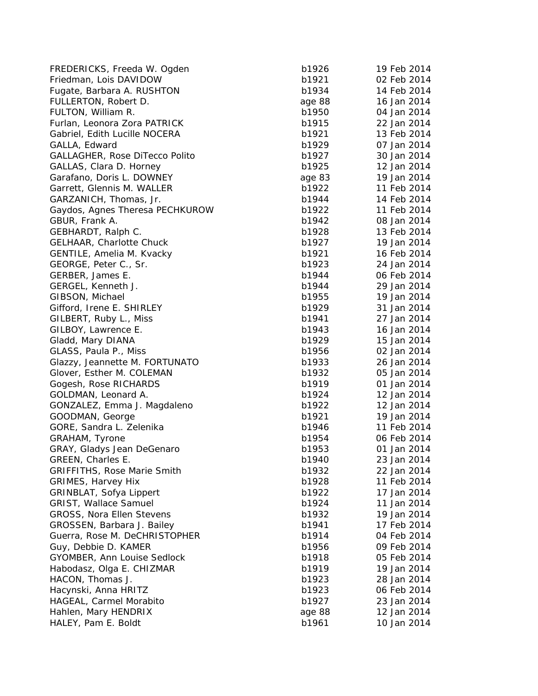| FREDERICKS, Freeda W. Ogden        | b1926  | 19 Feb 2014 |
|------------------------------------|--------|-------------|
| Friedman, Lois DAVIDOW             | b1921  | 02 Feb 2014 |
| Fugate, Barbara A. RUSHTON         | b1934  | 14 Feb 2014 |
| FULLERTON, Robert D.               | age 88 | 16 Jan 2014 |
| FULTON, William R.                 | b1950  | 04 Jan 2014 |
| Furlan, Leonora Zora PATRICK       | b1915  | 22 Jan 2014 |
| Gabriel, Edith Lucille NOCERA      | b1921  | 13 Feb 2014 |
| GALLA, Edward                      | b1929  | 07 Jan 2014 |
| GALLAGHER, Rose DiTecco Polito     | b1927  | 30 Jan 2014 |
| GALLAS, Clara D. Horney            | b1925  | 12 Jan 2014 |
| Garafano, Doris L. DOWNEY          | age 83 | 19 Jan 2014 |
| Garrett, Glennis M. WALLER         | b1922  | 11 Feb 2014 |
| GARZANICH, Thomas, Jr.             | b1944  | 14 Feb 2014 |
| Gaydos, Agnes Theresa PECHKUROW    | b1922  | 11 Feb 2014 |
| GBUR, Frank A.                     | b1942  | 08 Jan 2014 |
| GEBHARDT, Ralph C.                 | b1928  | 13 Feb 2014 |
| GELHAAR, Charlotte Chuck           | b1927  | 19 Jan 2014 |
| GENTILE, Amelia M. Kvacky          | b1921  | 16 Feb 2014 |
| GEORGE, Peter C., Sr.              | b1923  | 24 Jan 2014 |
| GERBER, James E.                   | b1944  | 06 Feb 2014 |
| GERGEL, Kenneth J.                 | b1944  | 29 Jan 2014 |
| GIBSON, Michael                    | b1955  | 19 Jan 2014 |
| Gifford, Irene E. SHIRLEY          | b1929  | 31 Jan 2014 |
| GILBERT, Ruby L., Miss             | b1941  | 27 Jan 2014 |
| GILBOY, Lawrence E.                | b1943  | 16 Jan 2014 |
| Gladd, Mary DIANA                  | b1929  | 15 Jan 2014 |
| GLASS, Paula P., Miss              | b1956  | 02 Jan 2014 |
| Glazzy, Jeannette M. FORTUNATO     | b1933  | 26 Jan 2014 |
| Glover, Esther M. COLEMAN          | b1932  | 05 Jan 2014 |
| Gogesh, Rose RICHARDS              | b1919  | 01 Jan 2014 |
| GOLDMAN, Leonard A.                | b1924  | 12 Jan 2014 |
| GONZALEZ, Emma J. Magdaleno        | b1922  | 12 Jan 2014 |
| GOODMAN, George                    | b1921  | 19 Jan 2014 |
| GORE, Sandra L. Zelenika           | b1946  | 11 Feb 2014 |
| GRAHAM, Tyrone                     | b1954  | 06 Feb 2014 |
| GRAY, Gladys Jean DeGenaro         | b1953  | 01 Jan 2014 |
| GREEN, Charles E.                  | b1940  | 23 Jan 2014 |
| <b>GRIFFITHS, Rose Marie Smith</b> | b1932  | 22 Jan 2014 |
| <b>GRIMES, Harvey Hix</b>          | b1928  | 11 Feb 2014 |
| GRINBLAT, Sofya Lippert            | b1922  | 17 Jan 2014 |
| GRIST, Wallace Samuel              | b1924  | 11 Jan 2014 |
| GROSS, Nora Ellen Stevens          | b1932  | 19 Jan 2014 |
| GROSSEN, Barbara J. Bailey         | b1941  | 17 Feb 2014 |
| Guerra, Rose M. DeCHRISTOPHER      | b1914  | 04 Feb 2014 |
| Guy, Debbie D. KAMER               | b1956  | 09 Feb 2014 |
| GYOMBER, Ann Louise Sedlock        | b1918  | 05 Feb 2014 |
| Habodasz, Olga E. CHIZMAR          | b1919  | 19 Jan 2014 |
| HACON, Thomas J.                   | b1923  | 28 Jan 2014 |
| Hacynski, Anna HRITZ               | b1923  | 06 Feb 2014 |
| HAGEAL, Carmel Morabito            | b1927  | 23 Jan 2014 |
| Hahlen, Mary HENDRIX               | age 88 | 12 Jan 2014 |
| HALEY, Pam E. Boldt                | b1961  | 10 Jan 2014 |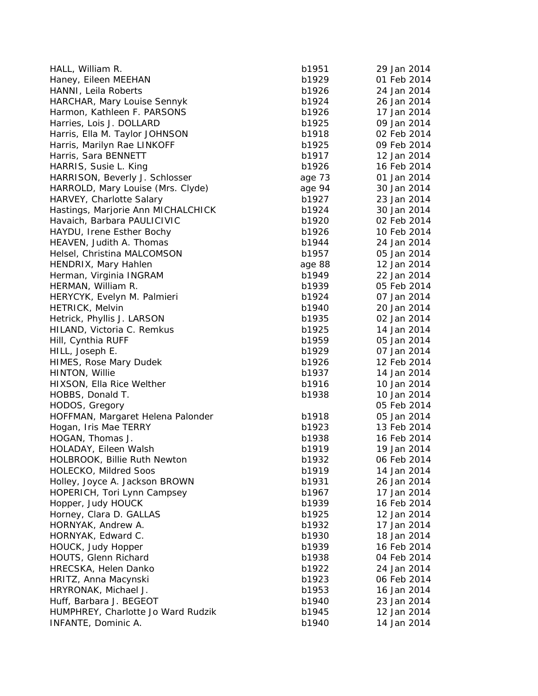| HALL, William R.                   | b1951  | 29 Jan 2014 |
|------------------------------------|--------|-------------|
| Haney, Eileen MEEHAN               | b1929  | 01 Feb 2014 |
| HANNI, Leila Roberts               | b1926  | 24 Jan 2014 |
| HARCHAR, Mary Louise Sennyk        | b1924  | 26 Jan 2014 |
| Harmon, Kathleen F. PARSONS        | b1926  | 17 Jan 2014 |
| Harries, Lois J. DOLLARD           | b1925  | 09 Jan 2014 |
| Harris, Ella M. Taylor JOHNSON     | b1918  | 02 Feb 2014 |
| Harris, Marilyn Rae LINKOFF        | b1925  | 09 Feb 2014 |
| Harris, Sara BENNETT               | b1917  | 12 Jan 2014 |
| HARRIS, Susie L. King              | b1926  | 16 Feb 2014 |
| HARRISON, Beverly J. Schlosser     | age 73 | 01 Jan 2014 |
| HARROLD, Mary Louise (Mrs. Clyde)  | age 94 | 30 Jan 2014 |
| HARVEY, Charlotte Salary           | b1927  | 23 Jan 2014 |
| Hastings, Marjorie Ann MICHALCHICK | b1924  | 30 Jan 2014 |
| Havaich, Barbara PAULICIVIC        | b1920  | 02 Feb 2014 |
| HAYDU, Irene Esther Bochy          | b1926  | 10 Feb 2014 |
| HEAVEN, Judith A. Thomas           | b1944  | 24 Jan 2014 |
| Helsel, Christina MALCOMSON        | b1957  | 05 Jan 2014 |
| HENDRIX, Mary Hahlen               | age 88 | 12 Jan 2014 |
| Herman, Virginia INGRAM            | b1949  | 22 Jan 2014 |
| HERMAN, William R.                 | b1939  | 05 Feb 2014 |
| HERYCYK, Evelyn M. Palmieri        | b1924  | 07 Jan 2014 |
| <b>HETRICK, Melvin</b>             | b1940  | 20 Jan 2014 |
| Hetrick, Phyllis J. LARSON         | b1935  | 02 Jan 2014 |
| HILAND, Victoria C. Remkus         | b1925  | 14 Jan 2014 |
| Hill, Cynthia RUFF                 | b1959  | 05 Jan 2014 |
| HILL, Joseph E.                    | b1929  | 07 Jan 2014 |
| HIMES, Rose Mary Dudek             | b1926  | 12 Feb 2014 |
| HINTON, Willie                     | b1937  | 14 Jan 2014 |
| HIXSON, Ella Rice Welther          | b1916  | 10 Jan 2014 |
| HOBBS, Donald T.                   | b1938  | 10 Jan 2014 |
| HODOS, Gregory                     |        | 05 Feb 2014 |
| HOFFMAN, Margaret Helena Palonder  | b1918  | 05 Jan 2014 |
| Hogan, Iris Mae TERRY              | b1923  | 13 Feb 2014 |
| HOGAN, Thomas J.                   | b1938  | 16 Feb 2014 |
| HOLADAY, Eileen Walsh              | b1919  | 19 Jan 2014 |
| HOLBROOK, Billie Ruth Newton       | b1932  | 06 Feb 2014 |
| HOLECKO, Mildred Soos              | b1919  | 14 Jan 2014 |
| Holley, Joyce A. Jackson BROWN     | b1931  | 26 Jan 2014 |
| HOPERICH, Tori Lynn Campsey        | b1967  | 17 Jan 2014 |
| Hopper, Judy HOUCK                 | b1939  | 16 Feb 2014 |
| Horney, Clara D. GALLAS            | b1925  | 12 Jan 2014 |
| HORNYAK, Andrew A.                 | b1932  | 17 Jan 2014 |
| HORNYAK, Edward C.                 | b1930  | 18 Jan 2014 |
| HOUCK, Judy Hopper                 | b1939  | 16 Feb 2014 |
| HOUTS, Glenn Richard               | b1938  | 04 Feb 2014 |
| HRECSKA, Helen Danko               | b1922  | 24 Jan 2014 |
| HRITZ, Anna Macynski               | b1923  | 06 Feb 2014 |
| HRYRONAK, Michael J.               | b1953  | 16 Jan 2014 |
| Huff, Barbara J. BEGEOT            | b1940  | 23 Jan 2014 |
| HUMPHREY, Charlotte Jo Ward Rudzik | b1945  | 12 Jan 2014 |
| INFANTE, Dominic A.                | b1940  | 14 Jan 2014 |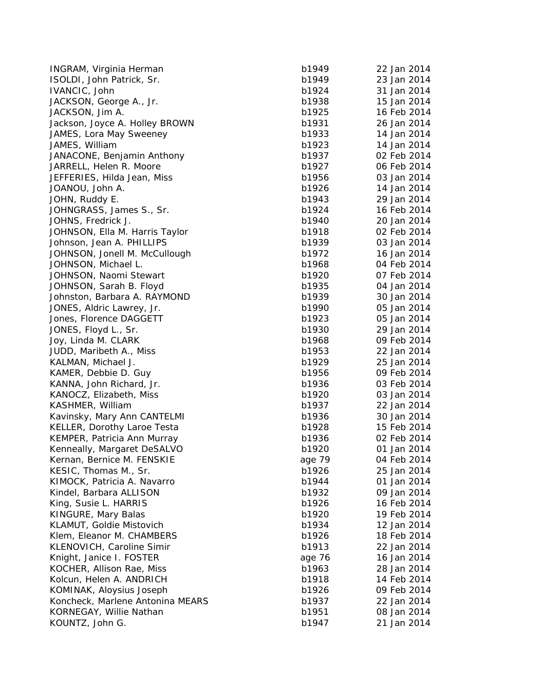| INGRAM, Virginia Herman                                      | b1949  | 22 Jan 2014 |
|--------------------------------------------------------------|--------|-------------|
| ISOLDI, John Patrick, Sr.                                    | b1949  | 23 Jan 2014 |
| IVANCIC, John                                                | b1924  | 31 Jan 2014 |
| JACKSON, George A., Jr.                                      | b1938  | 15 Jan 2014 |
| JACKSON, Jim A.                                              | b1925  | 16 Feb 2014 |
| Jackson, Joyce A. Holley BROWN                               | b1931  | 26 Jan 2014 |
| JAMES, Lora May Sweeney                                      | b1933  | 14 Jan 2014 |
| JAMES, William                                               | b1923  | 14 Jan 2014 |
| JANACONE, Benjamin Anthony                                   | b1937  | 02 Feb 2014 |
| JARRELL, Helen R. Moore                                      | b1927  | 06 Feb 2014 |
| JEFFERIES, Hilda Jean, Miss                                  | b1956  | 03 Jan 2014 |
| JOANOU, John A.                                              | b1926  | 14 Jan 2014 |
| JOHN, Ruddy E.                                               | b1943  | 29 Jan 2014 |
| JOHNGRASS, James S., Sr.                                     | b1924  | 16 Feb 2014 |
| JOHNS, Fredrick J.                                           | b1940  | 20 Jan 2014 |
| JOHNSON, Ella M. Harris Taylor                               | b1918  | 02 Feb 2014 |
| Johnson, Jean A. PHILLIPS                                    | b1939  | 03 Jan 2014 |
| JOHNSON, Jonell M. McCullough                                | b1972  | 16 Jan 2014 |
| JOHNSON, Michael L.                                          | b1968  | 04 Feb 2014 |
| JOHNSON, Naomi Stewart                                       | b1920  | 07 Feb 2014 |
| JOHNSON, Sarah B. Floyd                                      | b1935  | 04 Jan 2014 |
| Johnston, Barbara A. RAYMOND                                 | b1939  | 30 Jan 2014 |
| JONES, Aldric Lawrey, Jr.                                    | b1990  | 05 Jan 2014 |
| Jones, Florence DAGGETT                                      | b1923  | 05 Jan 2014 |
| JONES, Floyd L., Sr.                                         | b1930  | 29 Jan 2014 |
| Joy, Linda M. CLARK                                          | b1968  | 09 Feb 2014 |
| JUDD, Maribeth A., Miss                                      | b1953  | 22 Jan 2014 |
| KALMAN, Michael J.                                           | b1929  | 25 Jan 2014 |
| KAMER, Debbie D. Guy                                         | b1956  | 09 Feb 2014 |
| KANNA, John Richard, Jr.                                     | b1936  | 03 Feb 2014 |
| KANOCZ, Elizabeth, Miss                                      | b1920  | 03 Jan 2014 |
| KASHMER, William                                             | b1937  | 22 Jan 2014 |
| Kavinsky, Mary Ann CANTELMI                                  | b1936  | 30 Jan 2014 |
| KELLER, Dorothy Laroe Testa                                  | b1928  | 15 Feb 2014 |
| KEMPER, Patricia Ann Murray                                  | b1936  | 02 Feb 2014 |
| Kenneally, Margaret DeSALVO                                  | b1920  | 01 Jan 2014 |
| Kernan, Bernice M. FENSKIE                                   | age 79 | 04 Feb 2014 |
| KESIC, Thomas M., Sr.                                        | b1926  | 25 Jan 2014 |
| KIMOCK, Patricia A. Navarro                                  | b1944  | 01 Jan 2014 |
| Kindel, Barbara ALLISON                                      | b1932  | 09 Jan 2014 |
| King, Susie L. HARRIS                                        | b1926  | 16 Feb 2014 |
| KINGURE, Mary Balas                                          | b1920  | 19 Feb 2014 |
| KLAMUT, Goldie Mistovich                                     | b1934  | 12 Jan 2014 |
| Klem, Eleanor M. CHAMBERS                                    | b1926  | 18 Feb 2014 |
| KLENOVICH, Caroline Simir                                    | b1913  | 22 Jan 2014 |
|                                                              |        | 16 Jan 2014 |
| Knight, Janice I. FOSTER                                     | age 76 |             |
| KOCHER, Allison Rae, Miss<br>Kolcun, Helen A. ANDRICH        | b1963  | 28 Jan 2014 |
|                                                              | b1918  | 14 Feb 2014 |
| KOMINAK, Aloysius Joseph<br>Koncheck, Marlene Antonina MEARS | b1926  | 09 Feb 2014 |
|                                                              | b1937  | 22 Jan 2014 |
| KORNEGAY, Willie Nathan                                      | b1951  | 08 Jan 2014 |
| KOUNTZ, John G.                                              | b1947  | 21 Jan 2014 |

| าia Herman          | b1949  | 22 Jan 2014 |
|---------------------|--------|-------------|
| atrick, Sr.         | b1949  | 23 Jan 2014 |
|                     | b1924  | 31 Jan 2014 |
| rge A., Jr.         | b1938  | 15 Jan 2014 |
| Α.                  | b1925  | 16 Feb 2014 |
| A. Holley BROWN     | b1931  | 26 Jan 2014 |
| ay Sweeney          | b1933  | 14 Jan 2014 |
|                     | b1923  | 14 Jan 2014 |
| njamin Anthony      | b1937  | 02 Feb 2014 |
| R. Moore            | b1927  | 06 Feb 2014 |
| da Jean, Miss       | b1956  | 03 Jan 2014 |
| Α.                  | b1926  | 14 Jan 2014 |
|                     | b1943  | 29 Jan 2014 |
|                     |        | 16 Feb 2014 |
| ames S., Sr.        | b1924  |             |
| :k J.               | b1940  | 20 Jan 2014 |
| M. Harris Taylor    | b1918  | 02 Feb 2014 |
| A. PHILLIPS         | b1939  | 03 Jan 2014 |
| ell M. McCullough   | b1972  | 16 Jan 2014 |
| nael L.             | b1968  | 04 Feb 2014 |
| mi Stewart          | b1920  | 07 Feb 2014 |
| ah B. Floyd         | b1935  | 04 Jan 2014 |
| ara A. RAYMOND      | b1939  | 30 Jan 2014 |
| .awrey, Jr.         | b1990  | 05 Jan 2014 |
| DAGGETT !           | b1923  | 05 Jan 2014 |
| , Sr.               | b1930  | 29 Jan 2014 |
| LARK:               | b1968  | 09 Feb 2014 |
| A., Miss ו          | b1953  | 22 Jan 2014 |
| ael J.              | b1929  | 25 Jan 2014 |
| D. Guy              | b1956  | 09 Feb 2014 |
| ichard, Jr.         | b1936  | 03 Feb 2014 |
| oeth, Miss          | b1920  | 03 Jan 2014 |
| iam                 | b1937  | 22 Jan 2014 |
| Ann CANTELMI        | b1936  | 30 Jan 2014 |
| าy Laroe Testa      | b1928  | 15 Feb 2014 |
|                     | b1936  | 02 Feb 2014 |
| ia Ann Murray:      |        |             |
| garet DeSALVO       | b1920  | 01 Jan 2014 |
| e M. FENSKIE        | age 79 | 04 Feb 2014 |
| s M., Sr.           | b1926  | 25 Jan 2014 |
| ia A. Navarro       | b1944  | 01 Jan 2014 |
| a ALLISON           | b1932  | 09 Jan 2014 |
| HARRIS              | b1926  | 16 Feb 2014 |
| y Balas             | b1920  | 19 Feb 2014 |
| e Mistovich         | b1934  | 12 Jan 2014 |
| M. CHAMBERS         | b1926  | 18 Feb 2014 |
| aroline Simir       | b1913  | 22 Jan 2014 |
| I. Foster           | age 76 | 16 Jan 2014 |
| n Rae, Miss         | b1963  | 28 Jan 2014 |
| 4. ANDRICH          | b1918  | 14 Feb 2014 |
| sius Joseph         | b1926  | 09 Feb 2014 |
| lene Antonina MEARS | b1937  | 22 Jan 2014 |
| Ilie Nathan         | b1951  | 08 Jan 2014 |
| G.                  | b1947  | 21 Jan 2014 |
|                     |        |             |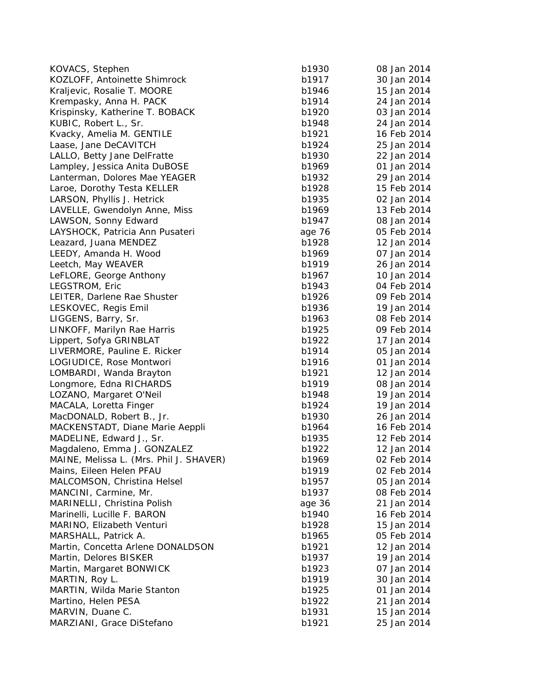| KOVACS, Stephen                         | b1930  | 08 Jan 2014 |
|-----------------------------------------|--------|-------------|
| KOZLOFF, Antoinette Shimrock            | b1917  | 30 Jan 2014 |
| Kraljevic, Rosalie T. MOORE             | b1946  | 15 Jan 2014 |
| Krempasky, Anna H. PACK                 | b1914  | 24 Jan 2014 |
| Krispinsky, Katherine T. BOBACK         | b1920  | 03 Jan 2014 |
| KUBIC, Robert L., Sr.                   | b1948  | 24 Jan 2014 |
| Kvacky, Amelia M. GENTILE               | b1921  | 16 Feb 2014 |
| Laase, Jane DeCAVITCH                   | b1924  | 25 Jan 2014 |
| LALLO, Betty Jane DelFratte             | b1930  | 22 Jan 2014 |
| Lampley, Jessica Anita DuBOSE           | b1969  | 01 Jan 2014 |
| Lanterman, Dolores Mae YEAGER           | b1932  | 29 Jan 2014 |
| Laroe, Dorothy Testa KELLER             | b1928  | 15 Feb 2014 |
| LARSON, Phyllis J. Hetrick              | b1935  | 02 Jan 2014 |
| LAVELLE, Gwendolyn Anne, Miss           | b1969  | 13 Feb 2014 |
| LAWSON, Sonny Edward                    | b1947  | 08 Jan 2014 |
| LAYSHOCK, Patricia Ann Pusateri         | age 76 | 05 Feb 2014 |
| Leazard, Juana MENDEZ                   | b1928  | 12 Jan 2014 |
| LEEDY, Amanda H. Wood                   | b1969  | 07 Jan 2014 |
| Leetch, May WEAVER                      | b1919  | 26 Jan 2014 |
| LeFLORE, George Anthony                 | b1967  | 10 Jan 2014 |
| LEGSTROM, Eric                          | b1943  | 04 Feb 2014 |
| LEITER, Darlene Rae Shuster             | b1926  | 09 Feb 2014 |
| LESKOVEC, Regis Emil                    | b1936  | 19 Jan 2014 |
| LIGGENS, Barry, Sr.                     | b1963  | 08 Feb 2014 |
| LINKOFF, Marilyn Rae Harris             | b1925  | 09 Feb 2014 |
| Lippert, Sofya GRINBLAT                 | b1922  | 17 Jan 2014 |
| LIVERMORE, Pauline E. Ricker            | b1914  | 05 Jan 2014 |
| LOGIUDICE, Rose Montwori                | b1916  | 01 Jan 2014 |
| LOMBARDI, Wanda Brayton                 | b1921  | 12 Jan 2014 |
| Longmore, Edna RICHARDS                 | b1919  | 08 Jan 2014 |
| LOZANO, Margaret O'Neil                 | b1948  | 19 Jan 2014 |
| MACALA, Loretta Finger                  | b1924  | 19 Jan 2014 |
| MacDONALD, Robert B., Jr.               | b1930  | 26 Jan 2014 |
| MACKENSTADT, Diane Marie Aeppli         | b1964  | 16 Feb 2014 |
| MADELINE, Edward J., Sr.                | b1935  | 12 Feb 2014 |
| Magdaleno, Emma J. GONZALEZ             | b1922  | 12 Jan 2014 |
| MAINE, Melissa L. (Mrs. Phil J. SHAVER) | b1969  | 02 Feb 2014 |
| Mains, Eileen Helen PFAU                | b1919  | 02 Feb 2014 |
| MALCOMSON, Christina Helsel             | b1957  | 05 Jan 2014 |
| MANCINI, Carmine, Mr.                   | b1937  | 08 Feb 2014 |
| MARINELLI, Christina Polish             | age 36 | 21 Jan 2014 |
| Marinelli, Lucille F. BARON             | b1940  | 16 Feb 2014 |
| MARINO, Elizabeth Venturi               | b1928  | 15 Jan 2014 |
| MARSHALL, Patrick A.                    | b1965  | 05 Feb 2014 |
| Martin, Concetta Arlene DONALDSON       | b1921  | 12 Jan 2014 |
| Martin, Delores BISKER                  | b1937  | 19 Jan 2014 |
| Martin, Margaret BONWICK                | b1923  | 07 Jan 2014 |
| MARTIN, Roy L.                          | b1919  | 30 Jan 2014 |
| MARTIN, Wilda Marie Stanton             | b1925  | 01 Jan 2014 |
| Martino, Helen PESA                     | b1922  | 21 Jan 2014 |
| MARVIN, Duane C.                        | b1931  | 15 Jan 2014 |
| MARZIANI, Grace DiStefano               | b1921  | 25 Jan 2014 |
|                                         |        |             |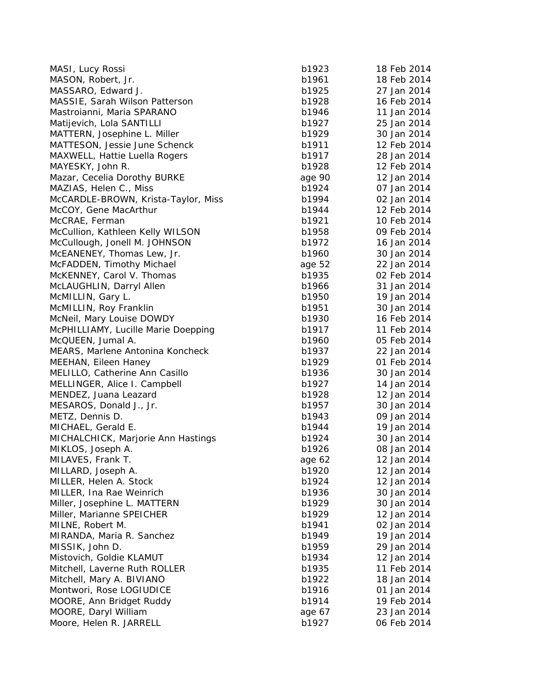| MASI, Lucy Rossi                    | b1923  | 18 Feb 2014 |
|-------------------------------------|--------|-------------|
| MASON, Robert, Jr.                  | b1961  | 18 Feb 2014 |
| MASSARO, Edward J.                  | b1925  | 27 Jan 2014 |
| MASSIE, Sarah Wilson Patterson      | b1928  | 16 Feb 2014 |
| Mastroianni, Maria SPARANO          | b1946  | 11 Jan 2014 |
| Matijevich, Lola SANTILLI           | b1927  | 25 Jan 2014 |
| MATTERN, Josephine L. Miller        | b1929  | 30 Jan 2014 |
| MATTESON, Jessie June Schenck       | b1911  | 12 Feb 2014 |
| MAXWELL, Hattie Luella Rogers       | b1917  | 28 Jan 2014 |
| MAYESKY, John R.                    | b1928  | 12 Feb 2014 |
| Mazar, Cecelia Dorothy BURKE        | age 90 | 12 Jan 2014 |
| MAZIAS, Helen C., Miss              | b1924  | 07 Jan 2014 |
| McCARDLE-BROWN, Krista-Taylor, Miss | b1994  | 02 Jan 2014 |
| McCOY, Gene MacArthur               | b1944  | 12 Feb 2014 |
| McCRAE, Ferman                      | b1921  | 10 Feb 2014 |
| McCullion, Kathleen Kelly WILSON    | b1958  | 09 Feb 2014 |
| McCullough, Jonell M. JOHNSON       | b1972  | 16 Jan 2014 |
| McEANENEY, Thomas Lew, Jr.          | b1960  | 30 Jan 2014 |
| McFADDEN, Timothy Michael           | age 52 | 22 Jan 2014 |
| McKENNEY, Carol V. Thomas           | b1935  | 02 Feb 2014 |
| McLAUGHLIN, Darryl Allen            | b1966  | 31 Jan 2014 |
| McMILLIN, Gary L.                   | b1950  | 19 Jan 2014 |
| McMILLIN, Roy Franklin              | b1951  | 30 Jan 2014 |
| McNeil, Mary Louise DOWDY           | b1930  | 16 Feb 2014 |
| McPHILLIAMY, Lucille Marie Doepping | b1917  | 11 Feb 2014 |
| McQUEEN, Jumal A.                   | b1960  | 05 Feb 2014 |
| MEARS, Marlene Antonina Koncheck    | b1937  | 22 Jan 2014 |
| MEEHAN, Eileen Haney                | b1929  | 01 Feb 2014 |
| MELILLO, Catherine Ann Casillo      | b1936  | 30 Jan 2014 |
| MELLINGER, Alice I. Campbell        | b1927  | 14 Jan 2014 |
| MENDEZ, Juana Leazard               | b1928  | 12 Jan 2014 |
|                                     |        | 30 Jan 2014 |
| MESAROS, Donald J., Jr.             | b1957  |             |
| METZ, Dennis D.                     | b1943  | 09 Jan 2014 |
| MICHAEL, Gerald E.                  | b1944  | 19 Jan 2014 |
| MICHALCHICK, Marjorie Ann Hastings  | b1924  | 30 Jan 2014 |
| MIKLOS, Joseph A.                   | b1926  | 08 Jan 2014 |
| MILAVES, Frank T.                   | age 62 | 12 Jan 2014 |
| MILLARD, Joseph A.                  | b1920  | 12 Jan 2014 |
| MILLER, Helen A. Stock              | b1924  | 12 Jan 2014 |
| MILLER, Ina Rae Weinrich            | b1936  | 30 Jan 2014 |
| Miller, Josephine L. MATTERN        | b1929  | 30 Jan 2014 |
| Miller, Marianne SPEICHER           | b1929  | 12 Jan 2014 |
| MILNE, Robert M.                    | b1941  | 02 Jan 2014 |
| MIRANDA, Maria R. Sanchez           | b1949  | 19 Jan 2014 |
| MISSIK, John D.                     | b1959  | 29 Jan 2014 |
| Mistovich, Goldie KLAMUT            | b1934  | 12 Jan 2014 |
| Mitchell, Laverne Ruth ROLLER       | b1935  | 11 Feb 2014 |
| Mitchell, Mary A. BIVIANO           | b1922  | 18 Jan 2014 |
| Montwori, Rose LOGIUDICE            | b1916  | 01 Jan 2014 |
| MOORE, Ann Bridget Ruddy            | b1914  | 19 Feb 2014 |
| MOORE, Daryl William                | age 67 | 23 Jan 2014 |
| Moore, Helen R. JARRELL             | b1927  | 06 Feb 2014 |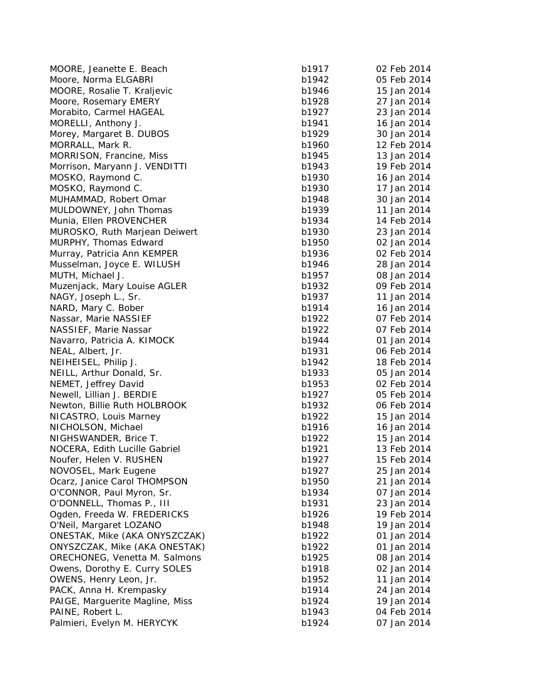MOORE, Jeanette E. Beach b1917 02 Feb 2014 Moore, Norma ELGABRI b1 MOORE, Rosalie T. Kraljevic b1 Moore, Rosemary EMER Morabito, Carmel HAGEAL b1 MORELLI, Anthony J. b1941 16 Jan 2014 16 Jan 2014 16 Jan 2014 16 Jan 2014 16 Jan 2014 16 Jan 2014 16 Jan 2014 16 Jan 2014 16 Jan 2014 16 Jan 2014 16 Jan 2014 16 Jan 2014 16 Jan 2014 16 Jan 2014 16 Jan 2014 16 Jan 2014 16 J Morey, Mar garet B. DUBOS b1929 30 Jan 2014 MORRALL, Mark R. b1960 12 Feb 2014 12 Feb 2014 MORRISON, Francine, Miss b1 Morrison, Maryann J. VENDITTI b1 MOSKO, Raymond C. b1930 16 and 2014 16 Jan 2014 16 Jan 2014 16 Jan 2014 16 Jan 2014 16 Jan 2014 16 Jan 2014 16 Jan 2014 16 Jan 2014 16 Jan 2014 16 Jan 2014 16 Jan 2014 16 Jan 2014 16 Jan 2014 16 Jan 2014 16 Jan 2014 16 Jan MOSKO, Raymond C. b1930 17 Jan 2014 17 Jan 2014 17 Jan 2014 17 Jan 2014 17 Jan 2014 17 Jan 2014 17 Jan 2014 17 Jan 2014 17 Jan 2014 17 Jan 2014 17 Jan 2014 17 Jan 2014 17 Jan 2014 17 Jan 2014 17 Jan 2014 17 Jan 2014 17 Jan MUHAMMAD, Robert Oma MULDOWNEY, John Thomas b1 Munia, Ellen PROVENCHER b1 MUROSKO, Ruth Marjean Deiwert b1 MURPHY, Thomas Edward b1 Murray, Patricia Ann KEMPER b1 Musselman, Joyce E. WILUSH b1 MUTH, Michael J. b1957 08 Jan 2014 08 Jan 2014 08 Jan 2014 08 Jan 2014 08 Jan 2014 08 Jan 2014 08 Jan 2014 08 Jan 2014 08 Jan 2014 08 Jan 2014 08 Jan 2014 08 Jan 2014 08 Jan 2014 08 Jan 2014 08 Jan 2014 08 Jan 2014 08 Jan Muzenjack, Mary Louise AGLE NAGY, Joseph L., Sr. b1937 11 Jan 2014 11 Jan 2014 11 Jan 2014 11 Jan 2014 12: B1 NARD, Mary C. Bobe Nassar, Marie NASSIE NASSIEF, Marie Nassa Navarro, Patricia A. KIMOCK b1 NEAL, Albert, Jr. b1931 06 Feb 2014 06 Feb 2014 06 Feb 2014 07 Feb 2014 07 Feb 2014 07 Feb 2014 07 Feb 2014 07 Feb 2014 07 Feb 2014 07 Feb 2014 07 Feb 2014 07 Feb 2014 07 Feb 2014 07 Feb 2014 07 Feb 2014 07 Feb 2014 07 Feb NEIHEISEL, Philip J. b1 NEILL, Arthur Donald, Sr. b1933 b1933 b1933 b1933 b1933 b1933 b1933 b1933 b1933 b1933 b1933 b1933 b1 NEMET, Jeffrey David b1 Newell, Lillian J. BERDIE b1 Newton, Billie Ruth HOLBROOK b1 NICASTRO, Louis Marney b1 NICHOLSON, Michael b1 NIGHSWANDER, Brice T. b1922 15 and 2014 NOCERA, Edith Lucille Gabriel b1 Noufer, Helen V. RUSHEN b1 NOVOSEL, Mark Eu Ocarz, Janice Carol THOMPSON b1 O'CONNOR, Paul Myron, Sr. b1934 07 Danis 2014 07 Danis 2014 07 Danis 2014 07 Danis 2014 07 Danis 2014 07 Danis O'DONNELL, Thomas P., II O gden, Freeda W. FREDERICKS b1926 19 Feb 2014 O'Neil, Mar garet LOZANO b1948 19 Jan 2014 ONESTAK, Mike (AKA ONYSZCZAK) b1 ONYSZCZAK, Mike (AKA ONESTAK) b1 ORECHONEG, Venetta M. Salmons b1 Owens, Dorothy E. Curry SOLES b1 OWENS, Henry Leon, Jr. b1952 12 and 2014 PACK, Anna H. Krempasky b1 PAIGE, Marguerite Magline, Miss and the control of the b1924 to the 19 Jan 2014 PAINE, Robert L. b1 Palmieri, Evelyn M. HERYCYK b1

| . Beach            | b1917 | 02 Feb 2014 |
|--------------------|-------|-------------|
| ABRI               | b1942 | 05 Feb 2014 |
| Kraljevic          | b1946 | 15 Jan 2014 |
| MERY               | b1928 | 27 Jan 2014 |
| AGEAL              | b1927 | 23 Jan 2014 |
| J.                 | b1941 | 16 Jan 2014 |
| <b>DUBOS</b>       | b1929 | 30 Jan 2014 |
|                    | b1960 | 12 Feb 2014 |
| าe, Miss           | b1945 | 13 Jan 2014 |
| J. VENDITTI        | b1943 | 19 Feb 2014 |
| С.                 | b1930 | 16 Jan 2014 |
| С.                 | b1930 | 17 Jan 2014 |
| t Omar             | b1948 | 30 Jan 2014 |
| Thomas             | b1939 | 11 Jan 2014 |
| <b>NCHER</b>       | b1934 | 14 Feb 2014 |
| arjean Deiwert     | b1930 | 23 Jan 2014 |
| dward              | b1950 | 02 Jan 2014 |
| n KEMPER           | b1936 | 02 Feb 2014 |
|                    | b1946 | 28 Jan 2014 |
| E. WILUSH          |       |             |
|                    | b1957 | 08 Jan 2014 |
| puise AGLER        | b1932 | 09 Feb 2014 |
| r.                 | b1937 | 11 Jan 2014 |
| er                 | b1914 | 16 Jan 2014 |
| SIEF               | b1922 | 07 Feb 2014 |
| ssar               | b1922 | 07 Feb 2014 |
| KIMOCK             | b1944 | 01 Jan 2014 |
|                    | b1931 | 06 Feb 2014 |
|                    | b1942 | 18 Feb 2014 |
| Id, Sr.            | b1933 | 05 Jan 2014 |
| ∕id                | b1953 | 02 Feb 2014 |
| RDIE               | b1927 | 05 Feb 2014 |
| <b>HOLBROOK</b>    | b1932 | 06 Feb 2014 |
| larney             | b1922 | 15 Jan 2014 |
| el                 | b1916 | 16 Jan 2014 |
| ice T.             | b1922 | 15 Jan 2014 |
| ille Gabriel       | b1921 | 13 Feb 2014 |
| JSHEN              | b1927 | 15 Feb 2014 |
| gene               | b1927 | 25 Jan 2014 |
| <b>THOMPSON</b>    | b1950 | 21 Jan 2014 |
| yron, Sr.          | b1934 | 07 Jan 2014 |
| as P., III         | b1931 | 23 Jan 2014 |
| <b>FREDERICKS</b>  | b1926 | 19 Feb 2014 |
| 2ANO               | b1948 | 19 Jan 2014 |
|                    |       | 01 Jan 2014 |
| (A ONYSZCZAK)      | b1922 |             |
| (AKA ONESTAK)      | b1922 | 01 Jan 2014 |
| tta M. Salmons     | b1925 | 08 Jan 2014 |
| <b>Curry SOLES</b> | b1918 | 02 Jan 2014 |
| n, Jr.             | b1952 | 11 Jan 2014 |
| mpasky             | b1914 | 24 Jan 2014 |
| Magline, Miss      | b1924 | 19 Jan 2014 |
|                    | b1943 | 04 Feb 2014 |
| <b>HERYCYK</b>     | b1924 | 07 Jan 2014 |
|                    |       |             |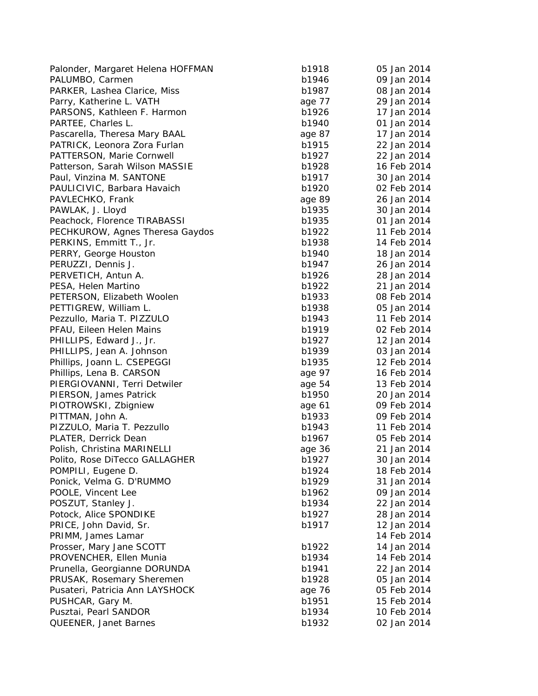| Palonder, Margaret Helena HOFFMAN | b1918  | 05 Jan 2014 |
|-----------------------------------|--------|-------------|
| PALUMBO, Carmen                   | b1946  | 09 Jan 2014 |
| PARKER, Lashea Clarice, Miss      | b1987  | 08 Jan 2014 |
| Parry, Katherine L. VATH          | age 77 | 29 Jan 2014 |
| PARSONS, Kathleen F. Harmon       | b1926  | 17 Jan 2014 |
| PARTEE, Charles L.                | b1940  | 01 Jan 2014 |
| Pascarella, Theresa Mary BAAL     | age 87 | 17 Jan 2014 |
| PATRICK, Leonora Zora Furlan      | b1915  | 22 Jan 2014 |
| PATTERSON, Marie Cornwell         | b1927  | 22 Jan 2014 |
| Patterson, Sarah Wilson MASSIE    | b1928  | 16 Feb 2014 |
| Paul, Vinzina M. SANTONE          | b1917  | 30 Jan 2014 |
| PAULICIVIC, Barbara Havaich       | b1920  | 02 Feb 2014 |
| PAVLECHKO, Frank                  | age 89 | 26 Jan 2014 |
| PAWLAK, J. Lloyd                  | b1935  | 30 Jan 2014 |
| Peachock, Florence TIRABASSI      | b1935  | 01 Jan 2014 |
| PECHKUROW, Agnes Theresa Gaydos   | b1922  | 11 Feb 2014 |
| PERKINS, Emmitt T., Jr.           | b1938  | 14 Feb 2014 |
| PERRY, George Houston             | b1940  | 18 Jan 2014 |
| PERUZZI, Dennis J.                | b1947  | 26 Jan 2014 |
| PERVETICH, Antun A.               | b1926  | 28 Jan 2014 |
| PESA, Helen Martino               | b1922  | 21 Jan 2014 |
| PETERSON, Elizabeth Woolen        | b1933  | 08 Feb 2014 |
| PETTIGREW, William L.             | b1938  | 05 Jan 2014 |
| Pezzullo, Maria T. PIZZULO        | b1943  | 11 Feb 2014 |
| PFAU, Eileen Helen Mains          | b1919  | 02 Feb 2014 |
| PHILLIPS, Edward J., Jr.          | b1927  | 12 Jan 2014 |
| PHILLIPS, Jean A. Johnson         | b1939  | 03 Jan 2014 |
| Phillips, Joann L. CSEPEGGI       | b1935  | 12 Feb 2014 |
| Phillips, Lena B. CARSON          | age 97 | 16 Feb 2014 |
| PIERGIOVANNI, Terri Detwiler      | age 54 | 13 Feb 2014 |
| PIERSON, James Patrick            | b1950  | 20 Jan 2014 |
| PIOTROWSKI, Zbigniew              | age 61 | 09 Feb 2014 |
| PITTMAN, John A.                  | b1933  | 09 Feb 2014 |
| PIZZULO, Maria T. Pezzullo        | b1943  | 11 Feb 2014 |
| PLATER, Derrick Dean              | b1967  | 05 Feb 2014 |
| Polish, Christina MARINELLI       | age 36 | 21 Jan 2014 |
| Polito, Rose DiTecco GALLAGHER    | b1927  | 30 Jan 2014 |
| POMPILI, Eugene D.                | b1924  | 18 Feb 2014 |
| Ponick, Velma G. D'RUMMO          | b1929  | 31 Jan 2014 |
| POOLE, Vincent Lee                | b1962  | 09 Jan 2014 |
| POSZUT, Stanley J.                | b1934  | 22 Jan 2014 |
| Potock, Alice SPONDIKE            | b1927  | 28 Jan 2014 |
| PRICE, John David, Sr.            | b1917  | 12 Jan 2014 |
| PRIMM, James Lamar                |        | 14 Feb 2014 |
| Prosser, Mary Jane SCOTT          | b1922  | 14 Jan 2014 |
| PROVENCHER, Ellen Munia           | b1934  | 14 Feb 2014 |
| Prunella, Georgianne DORUNDA      | b1941  | 22 Jan 2014 |
| PRUSAK, Rosemary Sheremen         | b1928  | 05 Jan 2014 |
| Pusateri, Patricia Ann LAYSHOCK   | age 76 | 05 Feb 2014 |
| PUSHCAR, Gary M.                  | b1951  | 15 Feb 2014 |
| Pusztai, Pearl SANDOR             | b1934  | 10 Feb 2014 |
| QUEENER, Janet Barnes             | b1932  | 02 Jan 2014 |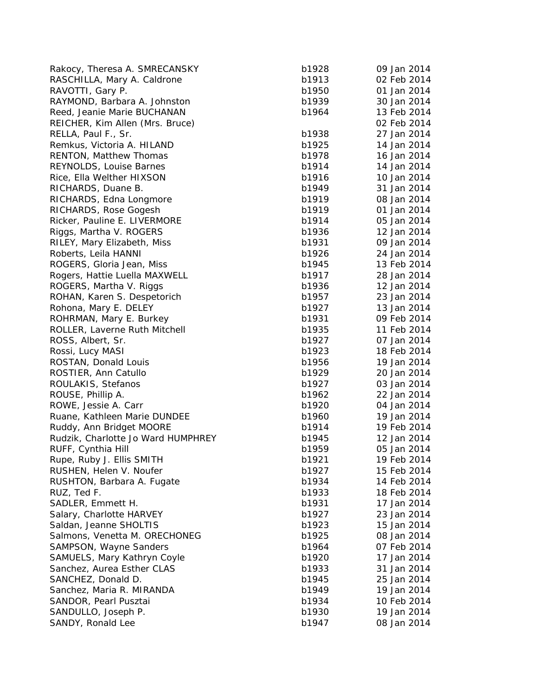Rakocy, Theresa A. SMRECANSKY b1928 RASCHILLA, Mary A. Caldrone b1913 b1913 b1913 b1913 b1913 b1913 b1913 b1913 b1913 b1913 b1913 b1913 b1913 b191 RAVOTTI, Gary P. b1950 01 Jan 2014 01 Jan 2014 01 Jan 2014 01 Jan 2014 01 Jan 2014 01 Jan 2014 01 Jan 2014 01 Jan 2014 01 Jan 2014 01 Jan 2014 01 Jan 2014 01 Jan 2014 01 Jan 2014 01 Jan 2014 01 Jan 2014 01 Jan 2014 01 Jan RAYMOND, Barbara A. Johnston 30 1939 30 1939 30 b1939 30 Jan 2014 30 Jan 2014 30 Jan 2014 30 Jan 2014 30 Jan 20 Reed, Jeanie Marie BUCHANAN REICHER, Kim Allen (Mrs. Bruce) RELLA, Paul F., Sr. b1938 27 Jan 2014 27 Jan 2014 27 Jan 2014 27 Jan 2014 27 Jan 2014 27 Jan 2014 27 Jan 2014 2 Remkus, Victoria A. HILAND b1935 b1935 b1935 b1935 b1935 b1935 b1935 b1935 b1935 b RENTON, Matthew Thomas b1978 16 Jan 2014 16 Jan 2014 16 Jan 2014 16 Jan 2014 16 Jan 2014 16 Jan 2014 16 Jan 20 REYNOLDS, Louise Barnes b1914 14 Jan 2014 14 Jan 2014 14 Jan 2014 14 Jan 2014 14 Jan 2014 14 Jan 2014 14 Jan 20 Rice, Ella Welther HIXSON b1916 b1916 b1916 b1916 b1916 b1916 b1916 b1916 b1916 b RICHARDS, Duane B. b1949 31 Jan 2014 31 Jan 2014 31 Jan 2014 31 Jan 2014 31 Jan 2014 31 Jan 2014 31 Jan 2014 31 Jan 2014 31 Jan 2014 31 Jan 2014 31 Jan 2014 31 Jan 2014 31 Jan 2014 31 Jan 2014 31 Jan 2014 31 Jan 2014 31 Ja RICHARDS, Edna Longmore b1919 08 b1919 b1919 b1919 b1919 b1919 b1919 b1919 b1919 b1919 b1919 b1919 b RICHARDS, Rose Gogesh b1919 01 Jan 2014 01 Jan 2014 01 Jan 2014 01 Jan 2014 01 Jan 2014 01 Jan 2014 01 Jan 201 Ricker, Pauline E. LIVERMORE b1914 b1914 b1914 b1914 b1914 b1914 b1914 b1914 b1914 b1914 b1914 b1914 b1914 b19 Riggs, Martha V. ROGERS b1936 12 Jan 2014 RILEY, Mary Elizabeth, Miss b1931 09 Jan 2014 Roberts, Leila HANNI b1926 24 Jan 2014 24 Jan 2014 24 Jan 2014 24 Jan 2014 25 Jan 2014 25 Jan 2014 25 Jan 2014 ROGERS, Gloria Jean, Miss b1945 13 Feb 2014 13 Feb 2014 13 Feb 2014 13 Feb 2014 13 Feb 2014 13 Feb 2014 13 Feb Rogers, Hattie Luella MAXWELL b1917 b1917 b1917 b1917 b1917 b1917 b1917 b1917 b1917 b1917 b1917 b191 ROGERS, Martha V. Riggs b1936 12 Jan 2014 12 Jan 2014 12 Jan 2014 12 Jan 2014 12 Jan 2014 12 Jan 2014 12 Jan 20 ROHAN, Karen S. Despetorich b1957 23 Jan 2014 23 Jan 2014 23 Jan 2014 23 Jan 2014 23 Jan 2014 23 Jan 2014 23 Jan 2014 23 Jan 2014 23 Jan 2014 23 Jan 2014 23 Jan 2014 23 Jan 2014 23 Jan 2014 23 Jan 2014 23 Jan 2014 23 Jan 2 Rohona, Mary E. DELEY b1927 13 b1937 13 b1927 13 b1937 13 b1937 13 b1937 13 b1937 13 b1937 13 b1937 13 b1937 1 ROHRMAN, Mary E. Burkey b1931 69 Feb 2014 ROLLER, Laverne Ruth Mitchell b1935 11 Feb 2014 ROSS, Albert, Sr. b1927 or b1927 or b1927 or b1927 or b1927 or b1927 or b1927 or b1927 or b1927 or b1927 or b19 Rossi, Lucy MASI b1933 1923 18 Feb 2014 18 Feb 2014 18 Feb 2014 18 Feb 2014 18 Feb 2014 18 Feb 2014 18 Feb 20 ROSTAN, Donald Louis b1956 19 Jan 2014 ROSTIER, Ann Catullo b1929 20 Jan 2014 ROULAKIS, Stefanos b1927 b1937 b1937 b1937 b1937 b1937 b1937 b1937 b1937 b1937 b1937 b1937 b1937 b1937 b1937 b ROUSE, Phillip A. b1962 22 Jan 2014 22 Jan 2014 22 Jan 2014 22 Jan 2014 22 Jan 2014 22 Jan 2014 22 Jan 2014 22 ROWE, Jessie A. Carr b1920 04 Jan 2014 04 Jan 2014 04 Jan 2014 04 Jan 2014 04 Jan 2014 04 Jan 2014 04 Jan 2014 04 Jan 2014 04 Jan 2014 04 Jan 2014 04 Jan 2014 04 Jan 2014 04 Jan 2014 04 Jan 2014 04 Jan 2014 04 Jan 2014 04 Ruane, Kathleen Marie DUNDEE b1960 b1960 b1960 b1960 b1960 b1960 b1960 b1960 b1960 b1960 b1960 b1960 b1960 b19 Ruddy, Ann Bridget MOORE b1914 19 Feb 2014 Rudzik, Charlotte Jo Ward HUMPHREY b1945 b1945 b1945 b1945 b1945 b1945 b1945 b1945 b1945 b1945 b1945 b1945 b19 RUFF, Cynthia Hill b1959 of the United States of the United States of the United States of the United States o Rupe, Ruby J. Ellis SMITH b1921 1922 1931 1932 1931 1932 1931 1932 1931 1932 1931 1932 1931 1932 1933 1934 19 RUSHEN, Helen V. Noufer b1927 15 Feb 2014 15 Feb 2014 RUSHTON, Barbara A. Fugate b1934 14 Feb 2014 14 Feb 2014 14 Feb 2014 14 Feb 2014 14 Feb 2014 14 Feb 2014 14 Fe RUZ, Ted F. b1933 18 Feb 2014 18 Feb 2014 18 Feb 2014 18 Feb 2014 18 Feb 2014 18 Feb 2014 18 Feb 2014 18 Feb 20 SADLER, Emmett H. b1931 17 Jan 2014 17 Jan 2014 17 Jan 2014 17 Jan 2014 17 Jan 2014 17 Jan 2014 17 Jan 2014 17 Jan 2014 17 Jan 2014 17 Jan 2014 17 Jan 2014 17 Jan 2014 17 Jan 2014 17 Jan 2014 17 Jan 2014 17 Jan 2014 17 Jan Salary, Charlotte HARVEY b1927 23 b1937 23 b1937 23 b1937 23 b1937 23 b1937 23 b1937 23 b1937 23 b1937 23 b193 Saldan, Jeanne SHOLTIS b1933 b1933 b1933 b1933 b1933 b1933 b1933 b1933 b1933 b1933 b1933 b1933 b1933 b1933 b19 Salmons, Venetta M. ORECHONEG **b** b SAMPSON, Wayne Sanders b1964 of the b1964 of the b1964 of the b1964 of the b1964 of the b1964 of the b1964 of the b1964 of the b1964 of the b1964 of the b1964 of the b1964 of the b1964 of the b1964 of the b1964 of the b196 SAMUELS, Mary Kathryn Coyle b1920 17 Jan 2014 17 Jan 2014 17 Jan 2014 17 Jan 2014 17 Jan 2014 17 Jan 2014 17 Jan 2014 17 Jan 2014 17 Jan 2014 17 Jan 2014 17 Jan 2014 17 Jan 2014 17 Jan 2014 17 Jan 2014 17 Jan 2014 17 Jan 2 Sanchez, Aurea Esther CLAS b1933 31 b1933 b1933 b1933 b1933 b1933 b1933 b1933 b1933 b1933 b1933 b1933 b1933 b1 SANCHEZ, Donald D. b1945 25 Jan 2014 25 Jan 2014 25 Jan 2014 25 Jan 2014 25 Jan 2014 25 Jan 2014 25 Jan 2014 25 Sanchez, Maria R. MIRANDA **b**<sup>1</sup> SANDOR, Pearl Pusztai b1934 10 Feb 2014 10 Feb 2014 10 Feb 2014 10 Feb 2014 10 Feb 2014 10 Feb 2014 10 Feb 20 SANDULLO, Joseph P. b1930 19 Jan 2014 SANDY, Ronald Lee b1947 b1947 b1947 b1947 b1947 b1947 b1947 b1947 b1947 b1947 b1947 b1947 b1947 b1947 b1947 b1947 b1947 b1947 b1947 b1947 b1947 b1947 b1947 b1947 b1947 b1947 b1947 b1947 b1947 b1947 b1947 b1947 b1947 b1947

| 1928 | 09 Jan 2014                |
|------|----------------------------|
| 1913 | 02 Feb 2014                |
| 1950 | 01 Jan 2014                |
| 1939 | 30 Jan 2014                |
| 1964 | 13 Feb 2014                |
|      | 02 Feb 2014                |
| 1938 | 27 Jan 2014                |
| 1925 | 14 Jan 2014                |
| 1978 | 16 Jan 2014                |
| 1914 | 14 Jan 2014                |
| 1916 | 10 Jan 2014                |
| 1949 | 31 Jan 2014                |
| 1919 | 08 Jan 2014                |
| 1919 | 01 Jan 2014                |
| 1914 | 05 Jan 2014                |
| 1936 | 12 Jan 2014                |
| 1931 | 09 Jan 2014                |
| 1926 | 24 Jan 2014                |
| 1945 | 13 Feb 2014                |
| 1917 | 28 Jan 2014                |
| 1936 | 12 Jan 2014                |
| 1957 | 23 Jan 2014                |
| 1927 | 13 Jan 2014                |
| 1931 | 09 Feb 2014                |
| 1935 | 11 Feb 2014                |
| 1927 | 07 Jan 2014                |
| 1923 |                            |
| 1956 | 18 Feb 2014                |
| 1929 | 19 Jan 2014<br>20 Jan 2014 |
|      |                            |
| 1927 | 03 Jan 2014                |
| 1962 | 22 Jan 2014                |
| 1920 | 04 Jan 2014                |
| 1960 | 19 Jan 2014                |
| 1914 | 19 Feb 2014                |
| 1945 | 12 Jan 2014                |
| 1959 | 05 Jan 2014                |
| 1921 | 19 Feb 2014                |
| 1927 | 15 Feb 2014                |
| 1934 | 14 Feb 2014                |
| 1933 | 18 Feb 2014                |
| 1931 | 17 Jan 2014                |
| 1927 | 23 Jan 2014                |
| 1923 | 15 Jan 2014                |
| 1925 | 08 Jan 2014                |
| 1964 | 07 Feb 2014                |
| 1920 | 17 Jan 2014                |
| 1933 | 31 Jan 2014                |
| 1945 | 25 Jan 2014                |
| 1949 | 19 Jan 2014                |
| 1934 | 10 Feb 2014                |
| 1930 | 19 Jan 2014                |
| 1947 | 08 Jan 2014                |
|      |                            |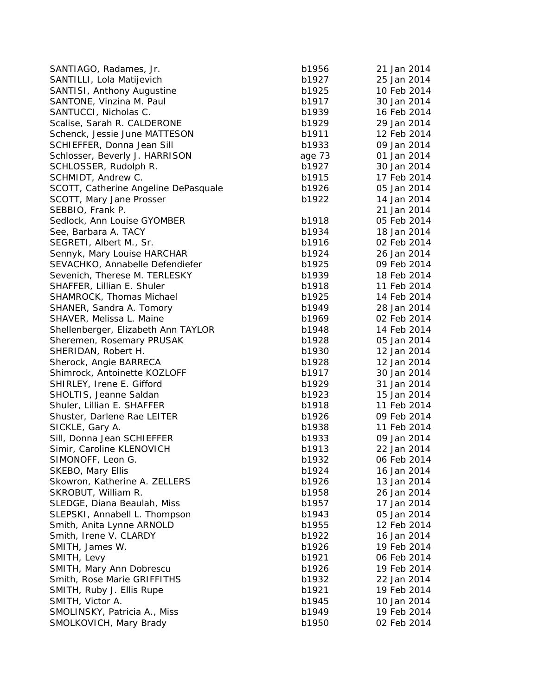| SANTIAGO, Radames, Jr.               | b1956  | 21 Jan 2014 |
|--------------------------------------|--------|-------------|
| SANTILLI, Lola Matijevich            | b1927  | 25 Jan 2014 |
| SANTISI, Anthony Augustine           | b1925  | 10 Feb 2014 |
| SANTONE, Vinzina M. Paul             | b1917  | 30 Jan 2014 |
| SANTUCCI, Nicholas C.                | b1939  | 16 Feb 2014 |
| Scalise, Sarah R. CALDERONE          | b1929  | 29 Jan 2014 |
| Schenck, Jessie June MATTESON        | b1911  | 12 Feb 2014 |
| SCHIEFFER, Donna Jean Sill           | b1933  | 09 Jan 2014 |
| Schlosser, Beverly J. HARRISON       | age 73 | 01 Jan 2014 |
| SCHLOSSER, Rudolph R.                | b1927  | 30 Jan 2014 |
| SCHMIDT, Andrew C.                   | b1915  | 17 Feb 2014 |
| SCOTT, Catherine Angeline DePasquale | b1926  | 05 Jan 2014 |
| SCOTT, Mary Jane Prosser             | b1922  | 14 Jan 2014 |
| SEBBIO, Frank P.                     |        | 21 Jan 2014 |
| Sedlock, Ann Louise GYOMBER          | b1918  | 05 Feb 2014 |
| See, Barbara A. TACY                 | b1934  | 18 Jan 2014 |
| SEGRETI, Albert M., Sr.              | b1916  | 02 Feb 2014 |
| Sennyk, Mary Louise HARCHAR          | b1924  | 26 Jan 2014 |
| SEVACHKO, Annabelle Defendiefer      | b1925  | 09 Feb 2014 |
| Sevenich, Therese M. TERLESKY        | b1939  | 18 Feb 2014 |
| SHAFFER, Lillian E. Shuler           | b1918  | 11 Feb 2014 |
| SHAMROCK, Thomas Michael             | b1925  | 14 Feb 2014 |
| SHANER, Sandra A. Tomory             | b1949  | 28 Jan 2014 |
| SHAVER, Melissa L. Maine             | b1969  | 02 Feb 2014 |
| Shellenberger, Elizabeth Ann TAYLOR  | b1948  | 14 Feb 2014 |
| Sheremen, Rosemary PRUSAK            | b1928  | 05 Jan 2014 |
| SHERIDAN, Robert H.                  | b1930  | 12 Jan 2014 |
| Sherock, Angie BARRECA               | b1928  | 12 Jan 2014 |
| Shimrock, Antoinette KOZLOFF         | b1917  | 30 Jan 2014 |
| SHIRLEY, Irene E. Gifford            | b1929  | 31 Jan 2014 |
| SHOLTIS, Jeanne Saldan               | b1923  | 15 Jan 2014 |
| Shuler, Lillian E. SHAFFER           | b1918  | 11 Feb 2014 |
| Shuster, Darlene Rae LEITER          | b1926  | 09 Feb 2014 |
| SICKLE, Gary A.                      | b1938  | 11 Feb 2014 |
| Sill, Donna Jean SCHIEFFER           | b1933  | 09 Jan 2014 |
| Simir, Caroline KLENOVICH            | b1913  | 22 Jan 2014 |
| SIMONOFF, Leon G.                    | b1932  | 06 Feb 2014 |
| SKEBO, Mary Ellis                    | b1924  | 16 Jan 2014 |
| Skowron, Katherine A. ZELLERS        | b1926  | 13 Jan 2014 |
| SKROBUT, William R.                  | b1958  | 26 Jan 2014 |
| SLEDGE, Diana Beaulah, Miss          | b1957  | 17 Jan 2014 |
| SLEPSKI, Annabell L. Thompson        | b1943  | 05 Jan 2014 |
| Smith, Anita Lynne ARNOLD            | b1955  | 12 Feb 2014 |
| Smith, Irene V. CLARDY               | b1922  | 16 Jan 2014 |
| SMITH, James W.                      | b1926  | 19 Feb 2014 |
|                                      |        |             |
| SMITH, Levy                          | b1921  | 06 Feb 2014 |
| SMITH, Mary Ann Dobrescu             | b1926  | 19 Feb 2014 |
| Smith, Rose Marie GRIFFITHS          | b1932  | 22 Jan 2014 |
| SMITH, Ruby J. Ellis Rupe            | b1921  | 19 Feb 2014 |
| SMITH, Victor A.                     | b1945  | 10 Jan 2014 |
| SMOLINSKY, Patricia A., Miss         | b1949  | 19 Feb 2014 |
| SMOLKOVICH, Mary Brady               | b1950  | 02 Feb 2014 |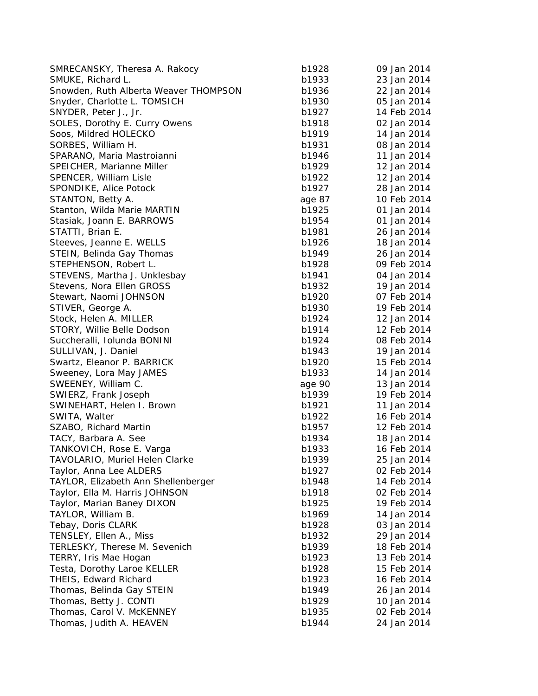| SMRECANSKY, Theresa A. Rakocy         | b1928  | 09 Jan 2014 |
|---------------------------------------|--------|-------------|
| SMUKE, Richard L.                     | b1933  | 23 Jan 2014 |
| Snowden, Ruth Alberta Weaver THOMPSON | b1936  | 22 Jan 2014 |
| Snyder, Charlotte L. TOMSICH          | b1930  | 05 Jan 2014 |
| SNYDER, Peter J., Jr.                 | b1927  | 14 Feb 2014 |
| SOLES, Dorothy E. Curry Owens         | b1918  | 02 Jan 2014 |
| Soos, Mildred HOLECKO                 | b1919  | 14 Jan 2014 |
| SORBES, William H.                    | b1931  | 08 Jan 2014 |
| SPARANO, Maria Mastroianni            | b1946  | 11 Jan 2014 |
| SPEICHER, Marianne Miller             | b1929  | 12 Jan 2014 |
| SPENCER, William Lisle                | b1922  | 12 Jan 2014 |
| SPONDIKE, Alice Potock                | b1927  | 28 Jan 2014 |
| STANTON, Betty A.                     | age 87 | 10 Feb 2014 |
| Stanton, Wilda Marie MARTIN           | b1925  | 01 Jan 2014 |
| Stasiak, Joann E. BARROWS             | b1954  | 01 Jan 2014 |
| STATTI, Brian E.                      | b1981  | 26 Jan 2014 |
| Steeves, Jeanne E. WELLS              | b1926  | 18 Jan 2014 |
| STEIN, Belinda Gay Thomas             | b1949  | 26 Jan 2014 |
| STEPHENSON, Robert L.                 | b1928  | 09 Feb 2014 |
| STEVENS, Martha J. Unklesbay          | b1941  | 04 Jan 2014 |
| Stevens, Nora Ellen GROSS             | b1932  | 19 Jan 2014 |
| Stewart, Naomi JOHNSON                | b1920  | 07 Feb 2014 |
| STIVER, George A.                     | b1930  | 19 Feb 2014 |
| Stock, Helen A. MILLER                | b1924  | 12 Jan 2014 |
| STORY, Willie Belle Dodson            | b1914  | 12 Feb 2014 |
| Succheralli, Iolunda BONINI           | b1924  | 08 Feb 2014 |
| SULLIVAN, J. Daniel                   | b1943  | 19 Jan 2014 |
| Swartz, Eleanor P. BARRICK            | b1920  | 15 Feb 2014 |
| Sweeney, Lora May JAMES               | b1933  | 14 Jan 2014 |
| SWEENEY, William C.                   | age 90 | 13 Jan 2014 |
| SWIERZ, Frank Joseph                  | b1939  | 19 Feb 2014 |
| SWINEHART, Helen I. Brown             | b1921  | 11 Jan 2014 |
| SWITA, Walter                         | b1922  | 16 Feb 2014 |
| SZABO, Richard Martin                 | b1957  | 12 Feb 2014 |
| TACY, Barbara A. See                  | b1934  | 18 Jan 2014 |
| TANKOVICH, Rose E. Varga              | b1933  | 16 Feb 2014 |
| TAVOLARIO, Muriel Helen Clarke        | b1939  | 25 Jan 2014 |
| Taylor, Anna Lee ALDERS               | b1927  | 02 Feb 2014 |
| TAYLOR, Elizabeth Ann Shellenberger   | b1948  | 14 Feb 2014 |
| Taylor, Ella M. Harris JOHNSON        | b1918  | 02 Feb 2014 |
| Taylor, Marian Baney DIXON            | b1925  | 19 Feb 2014 |
| TAYLOR, William B.                    | b1969  | 14 Jan 2014 |
| Tebay, Doris CLARK                    | b1928  | 03 Jan 2014 |
| TENSLEY, Ellen A., Miss               | b1932  | 29 Jan 2014 |
| TERLESKY, Therese M. Sevenich         | b1939  | 18 Feb 2014 |
| TERRY, Iris Mae Hogan                 | b1923  | 13 Feb 2014 |
| Testa, Dorothy Laroe KELLER           | b1928  | 15 Feb 2014 |
| THEIS, Edward Richard                 | b1923  | 16 Feb 2014 |
| Thomas, Belinda Gay STEIN             | b1949  | 26 Jan 2014 |
| Thomas, Betty J. CONTI                | b1929  | 10 Jan 2014 |
| Thomas, Carol V. McKENNEY             | b1935  | 02 Feb 2014 |
| Thomas, Judith A. HEAVEN              | b1944  | 24 Jan 2014 |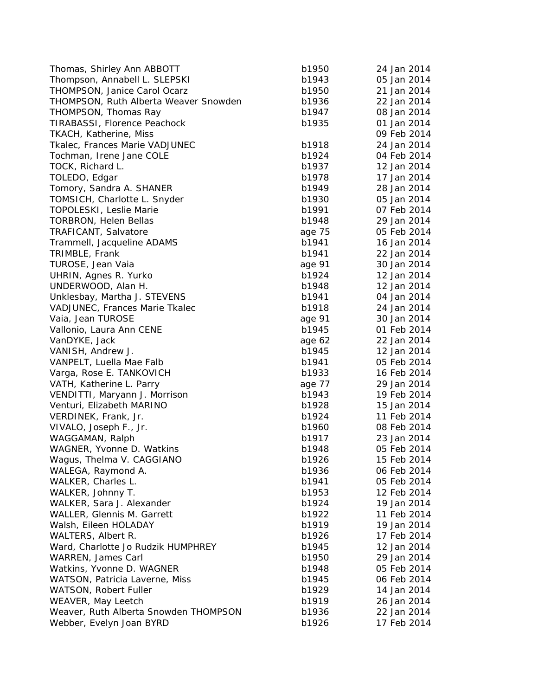| Thomas, Shirley Ann ABBOTT                   | b1950  | 24 Jan 2014 |
|----------------------------------------------|--------|-------------|
| Thompson, Annabell L. SLEPSKI                | b1943  | 05 Jan 2014 |
| THOMPSON, Janice Carol Ocarz                 | b1950  | 21 Jan 2014 |
| <b>THOMPSON, Ruth Alberta Weaver Snowden</b> | b1936  | 22 Jan 2014 |
| THOMPSON, Thomas Ray                         | b1947  | 08 Jan 2014 |
| TIRABASSI, Florence Peachock                 | b1935  | 01 Jan 2014 |
| <b>TKACH, Katherine, Miss</b>                |        | 09 Feb 2014 |
| Tkalec, Frances Marie VADJUNEC               | b1918  | 24 Jan 2014 |
| Tochman, Irene Jane COLE                     | b1924  | 04 Feb 2014 |
| TOCK, Richard L.                             | b1937  | 12 Jan 2014 |
| TOLEDO, Edgar                                | b1978  | 17 Jan 2014 |
| Tomory, Sandra A. SHANER                     | b1949  | 28 Jan 2014 |
| TOMSICH, Charlotte L. Snyder                 | b1930  | 05 Jan 2014 |
| TOPOLESKI, Leslie Marie                      | b1991  | 07 Feb 2014 |
| <b>TORBRON, Helen Bellas</b>                 | b1948  | 29 Jan 2014 |
| TRAFICANT, Salvatore                         | age 75 | 05 Feb 2014 |
| Trammell, Jacqueline ADAMS                   | b1941  | 16 Jan 2014 |
| TRIMBLE, Frank                               | b1941  | 22 Jan 2014 |
| TUROSE, Jean Vaia                            | age 91 | 30 Jan 2014 |
| UHRIN, Agnes R. Yurko                        | b1924  | 12 Jan 2014 |
| UNDERWOOD, Alan H.                           | b1948  | 12 Jan 2014 |
| Unklesbay, Martha J. STEVENS                 | b1941  | 04 Jan 2014 |
| VADJUNEC, Frances Marie Tkalec               | b1918  | 24 Jan 2014 |
| Vaia, Jean TUROSE                            | age 91 | 30 Jan 2014 |
| Vallonio, Laura Ann CENE                     | b1945  | 01 Feb 2014 |
| VanDYKE, Jack                                | age 62 | 22 Jan 2014 |
| VANISH, Andrew J.                            | b1945  | 12 Jan 2014 |
| VANPELT, Luella Mae Falb                     | b1941  | 05 Feb 2014 |
| Varga, Rose E. TANKOVICH                     | b1933  | 16 Feb 2014 |
| VATH, Katherine L. Parry                     | age 77 | 29 Jan 2014 |
| VENDITTI, Maryann J. Morrison                | b1943  | 19 Feb 2014 |
| Venturi, Elizabeth MARINO                    | b1928  | 15 Jan 2014 |
| VERDINEK, Frank, Jr.                         | b1924  | 11 Feb 2014 |
| VIVALO, Joseph F., Jr.                       | b1960  | 08 Feb 2014 |
| WAGGAMAN, Ralph                              | b1917  | 23 Jan 2014 |
| WAGNER, Yvonne D. Watkins                    | b1948  | 05 Feb 2014 |
| Wagus, Thelma V. CAGGIANO                    | b1926  | 15 Feb 2014 |
| WALEGA, Raymond A.                           | b1936  | 06 Feb 2014 |
| WALKER, Charles L.                           | b1941  | 05 Feb 2014 |
| WALKER, Johnny T.                            | b1953  | 12 Feb 2014 |
| WALKER, Sara J. Alexander                    | b1924  | 19 Jan 2014 |
| WALLER, Glennis M. Garrett                   | b1922  | 11 Feb 2014 |
| Walsh, Eileen HOLADAY                        | b1919  | 19 Jan 2014 |
| WALTERS, Albert R.                           | b1926  | 17 Feb 2014 |
|                                              |        | 12 Jan 2014 |
| Ward, Charlotte Jo Rudzik HUMPHREY           | b1945  | 29 Jan 2014 |
| WARREN, James Carl                           | b1950  |             |
| Watkins, Yvonne D. WAGNER                    | b1948  | 05 Feb 2014 |
| WATSON, Patricia Laverne, Miss               | b1945  | 06 Feb 2014 |
| WATSON, Robert Fuller                        | b1929  | 14 Jan 2014 |
| WEAVER, May Leetch                           | b1919  | 26 Jan 2014 |
| Weaver, Ruth Alberta Snowden THOMPSON        | b1936  | 22 Jan 2014 |
| Webber, Evelyn Joan BYRD                     | b1926  | 17 Feb 2014 |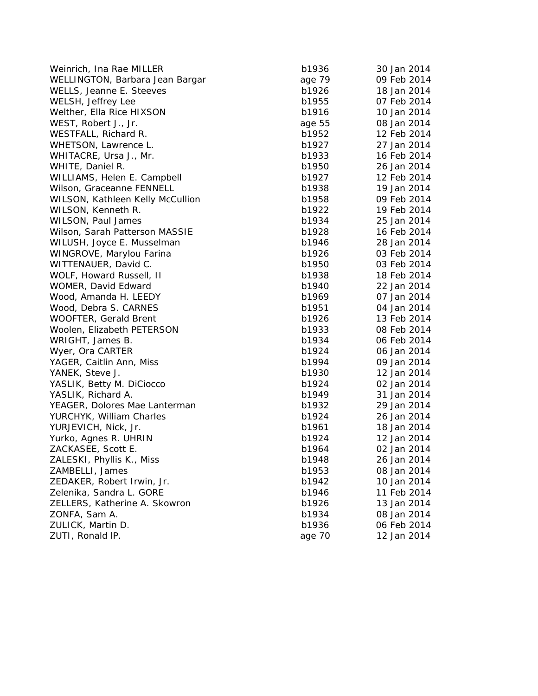| Weinrich, Ina Rae MILLER         | b1936  | 30 Jan 2014 |
|----------------------------------|--------|-------------|
| WELLINGTON, Barbara Jean Bargar  | age 79 | 09 Feb 2014 |
| WELLS, Jeanne E. Steeves         | b1926  | 18 Jan 2014 |
| WELSH, Jeffrey Lee               | b1955  | 07 Feb 2014 |
| Welther, Ella Rice HIXSON        | b1916  | 10 Jan 2014 |
| WEST, Robert J., Jr.             | age 55 | 08 Jan 2014 |
| WESTFALL, Richard R.             | b1952  | 12 Feb 2014 |
| WHETSON, Lawrence L.             | b1927  | 27 Jan 2014 |
| WHITACRE, Ursa J., Mr.           | b1933  | 16 Feb 2014 |
| WHITE, Daniel R.                 | b1950  | 26 Jan 2014 |
| WILLIAMS, Helen E. Campbell      | b1927  | 12 Feb 2014 |
| Wilson, Graceanne FENNELL        | b1938  | 19 Jan 2014 |
| WILSON, Kathleen Kelly McCullion | b1958  | 09 Feb 2014 |
| WILSON, Kenneth R.               | b1922  | 19 Feb 2014 |
| WILSON, Paul James               | b1934  | 25 Jan 2014 |
| Wilson, Sarah Patterson MASSIE   | b1928  | 16 Feb 2014 |
| WILUSH, Joyce E. Musselman       | b1946  | 28 Jan 2014 |
| WINGROVE, Marylou Farina         | b1926  | 03 Feb 2014 |
| WITTENAUER, David C.             | b1950  | 03 Feb 2014 |
| WOLF, Howard Russell, II         | b1938  | 18 Feb 2014 |
| WOMER, David Edward              | b1940  | 22 Jan 2014 |
| Wood, Amanda H. LEEDY            | b1969  | 07 Jan 2014 |
| Wood, Debra S. CARNES            | b1951  | 04 Jan 2014 |
| <b>WOOFTER, Gerald Brent</b>     | b1926  | 13 Feb 2014 |
| Woolen, Elizabeth PETERSON       | b1933  | 08 Feb 2014 |
| WRIGHT, James B.                 | b1934  | 06 Feb 2014 |
| Wyer, Ora CARTER                 | b1924  | 06 Jan 2014 |
| YAGER, Caitlin Ann, Miss         | b1994  | 09 Jan 2014 |
| YANEK, Steve J.                  | b1930  | 12 Jan 2014 |
| YASLIK, Betty M. DiCiocco        | b1924  | 02 Jan 2014 |
| YASLIK, Richard A.               | b1949  | 31 Jan 2014 |
| YEAGER, Dolores Mae Lanterman    | b1932  | 29 Jan 2014 |
| YURCHYK, William Charles         | b1924  | 26 Jan 2014 |
| YURJEVICH, Nick, Jr.             | b1961  | 18 Jan 2014 |
| Yurko, Agnes R. UHRIN            | b1924  | 12 Jan 2014 |
| ZACKASEE, Scott E.               | b1964  | 02 Jan 2014 |
| ZALESKI, Phyllis K., Miss        | b1948  | 26 Jan 2014 |
| ZAMBELLI, James                  | b1953  | 08 Jan 2014 |
| ZEDAKER, Robert Irwin, Jr.       | b1942  | 10 Jan 2014 |
| Zelenika, Sandra L. GORE         | b1946  | 11 Feb 2014 |
| ZELLERS, Katherine A. Skowron    | b1926  | 13 Jan 2014 |
| ZONFA, Sam A.                    | b1934  | 08 Jan 2014 |
| ZULICK, Martin D.                | b1936  | 06 Feb 2014 |
| ZUTI, Ronald IP.                 | age 70 | 12 Jan 2014 |
|                                  |        |             |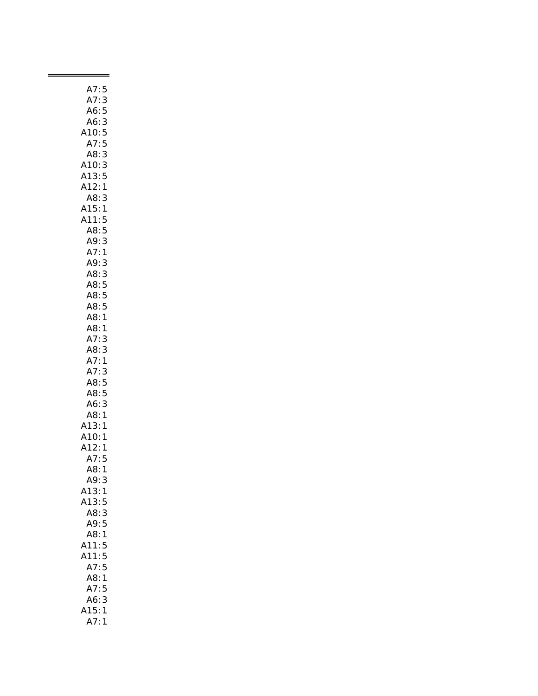| A7:                      | 5                                               |
|--------------------------|-------------------------------------------------|
| A7:                      | $\ddot{\cdot}$<br>s                             |
| A6:                      | 5                                               |
|                          |                                                 |
| : A6<br>: A10<br>: A7    |                                                 |
|                          |                                                 |
| A8:                      | 3<br>5<br>5<br>3                                |
| 10:                      | 3                                               |
| 3:<br>$\mathsf{A}1$      | 5                                               |
| A12:                     | $\mathbf{1}$                                    |
| A8:                      | 3                                               |
| A15:                     | $\mathbf{1}$                                    |
| A11:                     |                                                 |
| A8:<br>A9:<br>A7:        |                                                 |
|                          |                                                 |
|                          |                                                 |
| A9:                      |                                                 |
| A8:                      |                                                 |
| A8:                      |                                                 |
| <br>A8:                  |                                                 |
|                          |                                                 |
| Ao.<br>A8:<br>A8:        | 5531335551                                      |
| A8:                      | 1                                               |
| A7:                      |                                                 |
|                          | 3<br>3                                          |
| A8:                      |                                                 |
| A7:                      | $\mathbf{1}$                                    |
| A7:                      | 3                                               |
| A8:<br>A8:               | 5                                               |
|                          | 5                                               |
| A6:                      |                                                 |
| A8:                      |                                                 |
|                          |                                                 |
|                          |                                                 |
| --<br>:A13<br>A12<br>A12 |                                                 |
| A7:<br>A8:               | $\begin{array}{c} 1 \\ 5 \\ 1 \\ 3 \end{array}$ |
|                          |                                                 |
| .<br>A9:                 |                                                 |
| A13:                     | 1                                               |
| A13:                     | 5                                               |
| A8:                      | 3                                               |
| A9:                      | 5                                               |
| A8:                      | 1                                               |
| A11:                     | 5                                               |
| A11:                     | 5                                               |
| A7:                      | 5                                               |
| A8:                      | 1                                               |
| A7:                      | 5                                               |
| A6:                      | 3                                               |
| 15:                      | 1                                               |
| A7:                      | 1                                               |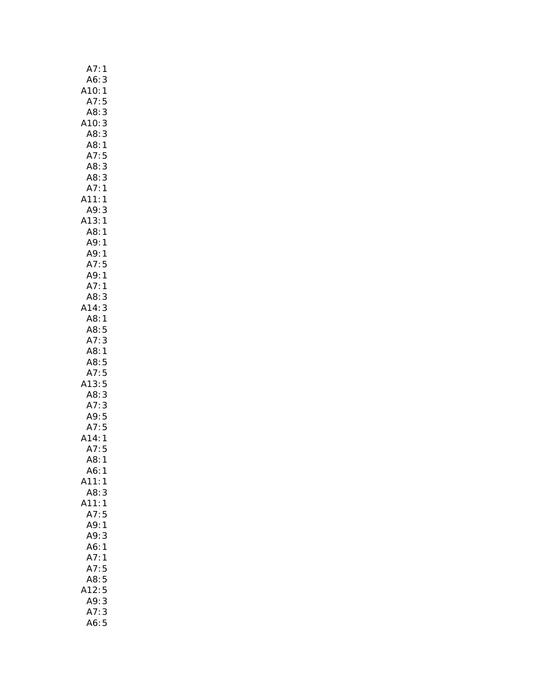| A7:                     | 1            |
|-------------------------|--------------|
| A6:                     | 3            |
| 10:                     | $\mathbf{1}$ |
| A7:                     | 5            |
| A8:                     | 3            |
| A10:                    | 3            |
| A8:3                    |              |
| A8:1                    |              |
| A7:5                    |              |
| A8:                     | 3            |
| A8:3                    |              |
| A7:1                    |              |
| A11:1                   |              |
| A9:3                    |              |
| A13:1                   |              |
| A8:1                    |              |
| A9:                     | 1            |
|                         |              |
| A9: 1<br>A7: 5          |              |
| . / : 5<br>A9 : 1<br>A7 |              |
|                         |              |
| A8:                     | 3            |
| A14:3                   |              |
| A8:1                    |              |
| A8:5                    |              |
| A7:                     | 3            |
| A8:1                    |              |
| A8:5                    |              |
| A7:5                    |              |
| A13:5                   |              |
| A8:3                    |              |
| A7:                     | 3            |
| A9:5                    |              |
| A7:5                    |              |
| 14:1                    |              |
| A7:                     | 5            |
| .<br>A8:                | 1            |
| A6:                     | 1            |
| A11:                    | 1            |
| A8:                     | 3            |
| A11:                    | $\mathbf{1}$ |
| A7:                     | 5            |
| A9: 1                   |              |
| A9:                     | 3            |
| A6:1                    |              |
| A7:                     | 1            |
| A7:5                    |              |
| A8:5                    |              |
| 12:5<br>Δ               |              |
| A9:                     | 3            |
| A7:                     | 3            |
| A6:                     | 5            |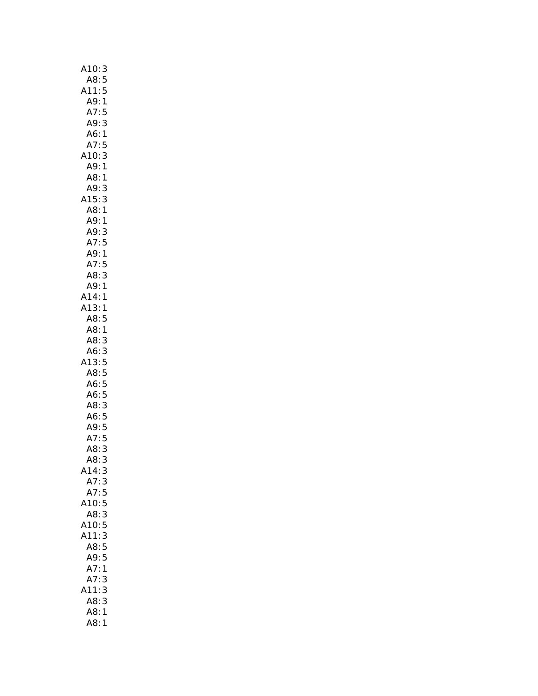| A10:<br>3               |
|-------------------------|
| A8:5                    |
| A11:<br>5               |
| A9:<br>$\mathbf{1}$     |
| A7:<br>5                |
| A9:<br>3                |
| A6:1                    |
| A7:5                    |
| A10:<br>3               |
| 1<br>A9:                |
| $\frac{1}{3}$<br>A8:    |
| A9:                     |
| ر<br>3<br>1<br>A15:     |
| A8:                     |
| A9:<br>$\mathbf{1}$     |
| A9:3                    |
|                         |
| A7:5<br>A9:1<br>^7      |
| A7:5                    |
| 3<br>A8:                |
| A9:1<br>A14:1           |
| A13:1                   |
| A8:5                    |
| A8:1                    |
| A8:<br>3                |
| A6:<br>3                |
| (13)<br>5               |
| A8:<br>5                |
| A6:                     |
| $\frac{5}{5}$<br>A6:    |
| 3<br>A8:                |
| A6:                     |
| 5<br>5<br>5<br>5<br>A9: |
| A7:                     |
| A8:<br>3                |
| A8:<br>3                |
| A14:3                   |
| A7:3                    |
| A7:5                    |
| A10:5                   |
| A8:<br>3                |
| A10:<br>5               |
| A11:<br>3               |
| 5<br>A8:                |
| A9:<br>5                |
| A7:<br>1                |
| A7:<br>3                |
| A11:<br>3               |
| A8:<br>3<br>A8:1        |
| A8:1                    |
|                         |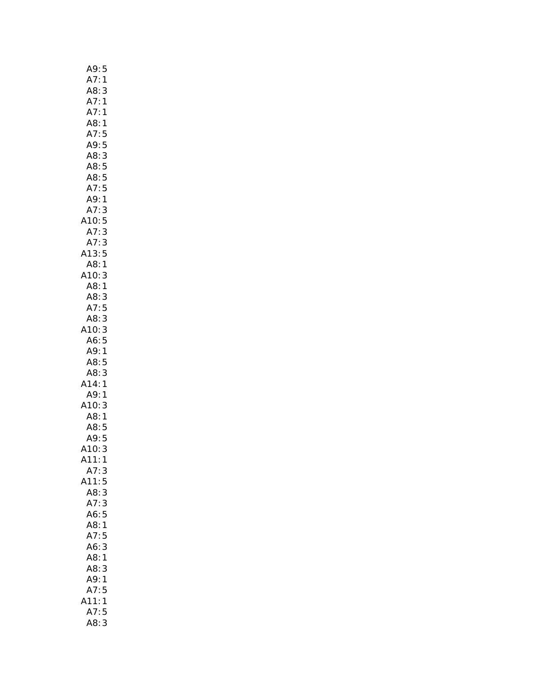| A9:5                  |                                            |
|-----------------------|--------------------------------------------|
| A7:                   | 1                                          |
| A8:3                  |                                            |
| A7:                   | $\mathbf{1}$                               |
| A7:1                  |                                            |
| A8:1                  |                                            |
| A7:5                  |                                            |
| A9:5                  |                                            |
| A8:3                  |                                            |
| A8:5                  |                                            |
| A8:5                  |                                            |
| A7:5<br>A9:1          |                                            |
|                       |                                            |
| A7:                   | 3                                          |
| A10:5                 |                                            |
|                       |                                            |
| A7:<br>:A7<br>A13     | $\begin{array}{c} 3 \\ 3 \\ 5 \end{array}$ |
|                       |                                            |
| A8:1<br>A10:3<br>A8:1 |                                            |
|                       | 3                                          |
|                       |                                            |
| A8:3                  |                                            |
| A7:5<br>A8:3          |                                            |
| A10:3                 |                                            |
| A6:5                  |                                            |
| A9:1                  |                                            |
| A8:5                  |                                            |
| A8:                   | 3                                          |
|                       |                                            |
| 14:1،<br>A9:1         |                                            |
| A10:                  | 3                                          |
| A8:1                  |                                            |
| AS:<br>A8:5<br>A9:5   |                                            |
|                       |                                            |
| A10:                  | 3                                          |
| $\lambda$ 11:         | $\mathbf{1}$                               |
| A7:                   | 3                                          |
| 411:                  | 5                                          |
| A8:                   | 3                                          |
| A7:3                  |                                            |
| A6:5                  |                                            |
| A8:1                  |                                            |
| A7:                   | 5                                          |
| A6:                   | 3                                          |
| A8:                   | $\mathbf{1}$                               |
| A8:                   | 3                                          |
| A9:<br>A7:            | 1                                          |
|                       | 5                                          |
| 11:                   | 1                                          |
| A7:5                  |                                            |
| A8:                   | 3                                          |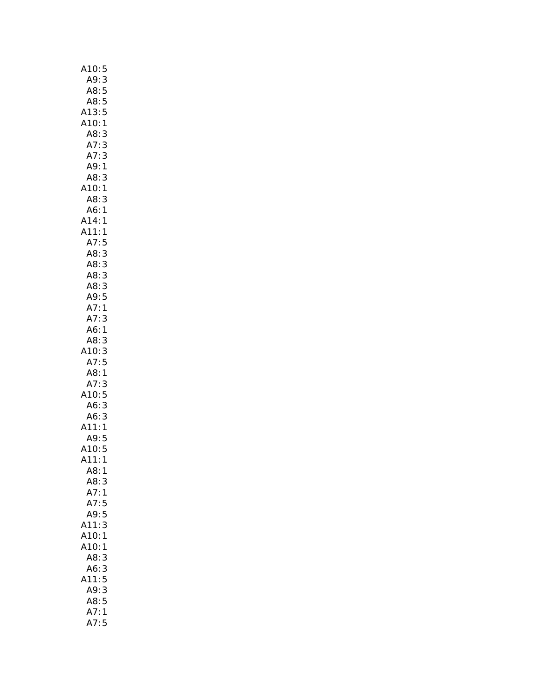| A10:5                                         |
|-----------------------------------------------|
| A9:3                                          |
| 5<br>A8:                                      |
| A8:5                                          |
| A13:5                                         |
| A10:1                                         |
| A8:<br>3                                      |
| A7:3                                          |
| A7:<br>3                                      |
| A9:1                                          |
| A8: 3<br>A10: 1                               |
|                                               |
| A8:<br>3                                      |
| A6:1                                          |
| A14:1<br>A11:1<br>A7:5                        |
|                                               |
|                                               |
| AB:3                                          |
| A8:3                                          |
| A8:3                                          |
| AB:3                                          |
| A9:5                                          |
| A7:1                                          |
| A7:<br>3<br>A6:1                              |
| A8:<br>3                                      |
| 10:<br>3                                      |
| A7:5                                          |
| A8:1                                          |
| A7:<br>3                                      |
|                                               |
| A10: 5<br>A6: 3<br>$A6$ :                     |
| A6:                                           |
| $\begin{array}{c} 3 \\ 1 \end{array}$<br>A11: |
| A9:5                                          |
| A10:5                                         |
| A11:<br>$\mathbf{1}$                          |
| A8:1                                          |
| A8:3                                          |
| A7:1                                          |
| A7:5                                          |
| A9:5                                          |
| A11:<br>3                                     |
| A10:<br>1                                     |
| A10:<br>1                                     |
| A8:<br>3                                      |
| A6:3                                          |
| 5<br>A11:                                     |
| A9:3                                          |
| A8:5                                          |
| A7:<br>$\mathbf{1}$                           |
| A7:<br>5                                      |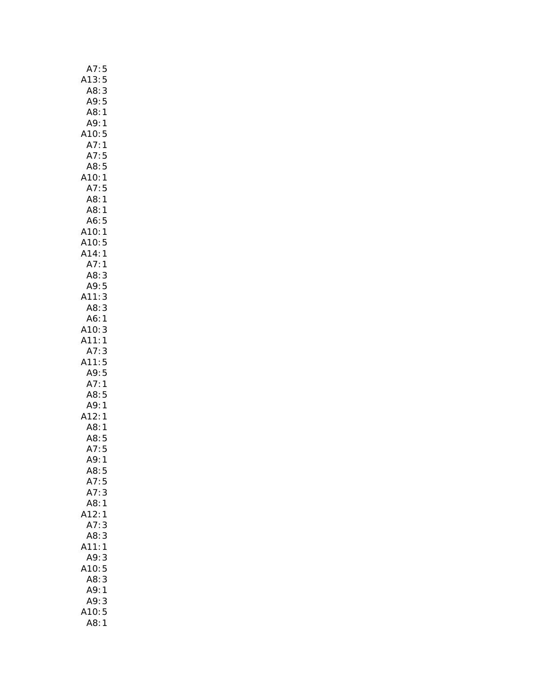| A7:5                             |
|----------------------------------|
| A13:5                            |
| A8:3                             |
| A9:5                             |
| A8:1                             |
| A9: 1                            |
| A10:5                            |
|                                  |
| $\mathbf{1}$<br>A7:              |
| A7:5                             |
| A8:5                             |
| A10:1                            |
| A7:5                             |
| A8:1                             |
| A8:<br>1                         |
| A6:<br>$\overline{5}$            |
| AU. J<br>A10:1<br>A10:5<br>A14:1 |
|                                  |
|                                  |
| A7:1                             |
|                                  |
| A8:3                             |
| A9:5                             |
| 3<br>A11:                        |
| 3<br>A8:                         |
| A6:1                             |
| A10:<br>3                        |
| A11:1                            |
| A7:<br>3                         |
| A11:5                            |
| A9:5                             |
| A7:<br>$\mathbf{1}$              |
| A8:5                             |
| A9:1                             |
|                                  |
| A12:<br>1                        |
| A8:1                             |
| A8:5                             |
| A7:5                             |
| A9:<br>1                         |
| A8:<br>5                         |
| A7:<br>5                         |
| A7:<br>3                         |
| A8:1                             |
| A12:<br>1                        |
| A7:<br>3                         |
| A8:<br>3                         |
|                                  |
| (11)<br>1                        |
| A9:<br>3                         |
| 410:5                            |
| A8:<br>3                         |
| A9:<br>$\mathbf{1}$              |
| A9:3                             |
| 10:5                             |
| A8:<br>$\mathbf{1}$              |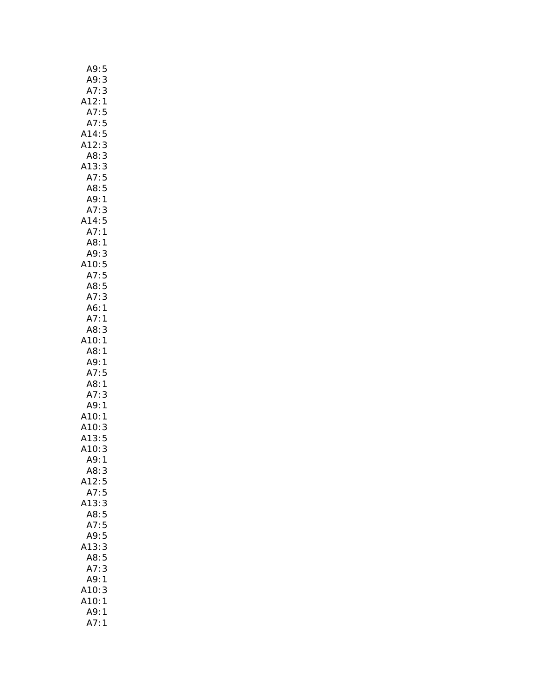| A9:<br>5                                 |  |
|------------------------------------------|--|
| 3<br>A9:                                 |  |
| A7:<br>3                                 |  |
| A12:<br>$\mathbf{1}$                     |  |
| A7:5                                     |  |
| A7:<br>5                                 |  |
| A14:<br>5                                |  |
| A12:3                                    |  |
| 3<br>A8:                                 |  |
| A13:                                     |  |
|                                          |  |
| 13:3<br>A7:5<br>A8:5                     |  |
| A9:1                                     |  |
| A7:<br>3                                 |  |
| A14:5                                    |  |
| A7:1                                     |  |
| A8:1                                     |  |
| A9:<br>A9:3<br>A10:5<br>A7:5<br>A8:5     |  |
|                                          |  |
|                                          |  |
|                                          |  |
| A7:3                                     |  |
| A6:1                                     |  |
| A7:1                                     |  |
| A8:<br>3                                 |  |
|                                          |  |
| A10:1                                    |  |
| A8:1                                     |  |
| A9:1                                     |  |
| A7:5                                     |  |
| A8:1                                     |  |
| A7:3                                     |  |
| A9:1                                     |  |
|                                          |  |
|                                          |  |
|                                          |  |
| $A10:1$<br>$A10:3$<br>$A13:5$<br>$A10:3$ |  |
| A9:1                                     |  |
| A8:3                                     |  |
| 5<br>A12:                                |  |
| A7:<br>5                                 |  |
| 413:3                                    |  |
| A8:5                                     |  |
| A7:<br>5                                 |  |
| A9:5                                     |  |
| A13:3                                    |  |
| A8:5                                     |  |
| A7:3                                     |  |
| A9:1                                     |  |
| A10:<br>3                                |  |
| A10:<br>1                                |  |
| A9:<br>1<br>A7:1                         |  |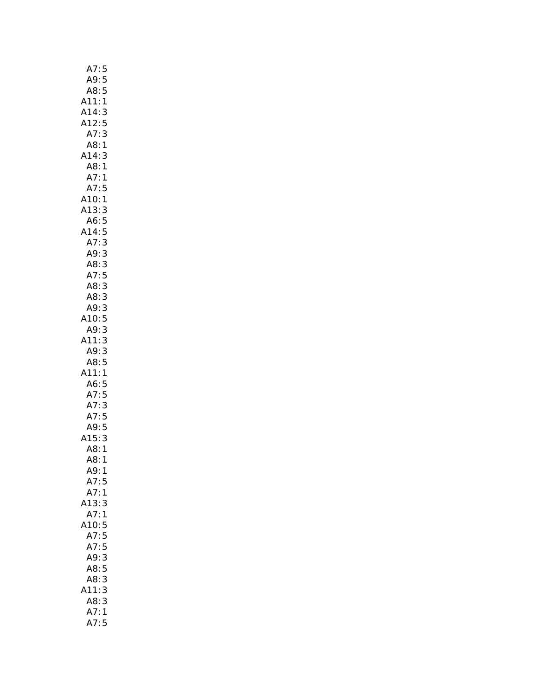| A7:5<br>A9:5                 |                   |
|------------------------------|-------------------|
| A8:                          | 5                 |
|                              | $\mathbf{1}$      |
| A11:<br>A14:<br>A12:         | 3                 |
|                              | 5                 |
| A7:                          | 3                 |
| A8:                          | 1                 |
| A14:                         | 3                 |
| A8:                          | 1                 |
| A7:                          | 1                 |
| A7:5                         |                   |
| A10:1                        |                   |
| A13:                         | 3                 |
| A6:                          | 5                 |
| A14:                         | 5                 |
| A7:                          | 3                 |
| A9:                          |                   |
| A8:                          |                   |
| A7:                          | $\frac{1}{3}$ 3 5 |
| A8:                          | 3                 |
| A8:                          | 3                 |
| A9:                          | 3                 |
| A10:                         | 5                 |
| A9:                          | 3                 |
| A11:                         | 3                 |
| A9:3                         |                   |
| A8:5                         |                   |
| A11:1                        |                   |
| A6:5                         |                   |
| A7:5<br>A7:3<br>A7:5<br>A9:5 |                   |
|                              |                   |
|                              |                   |
|                              |                   |
| A15:                         | 3                 |
| ⊥J<br>A8:1<br>^8:1           |                   |
| A8:                          |                   |
| A9:1                         |                   |
| A7:                          | 5                 |
| A7:                          | 1                 |
| .13:                         | 3                 |
| A7:1                         |                   |
| A10:5                        |                   |
| A7:5                         |                   |
| A7:5                         |                   |
| A9:                          | 3                 |
| A8:                          | 5                 |
| A8:                          | 3                 |
| 11:                          | 3                 |
| A8:3                         |                   |
| A7:1                         |                   |
| A7:                          | 5                 |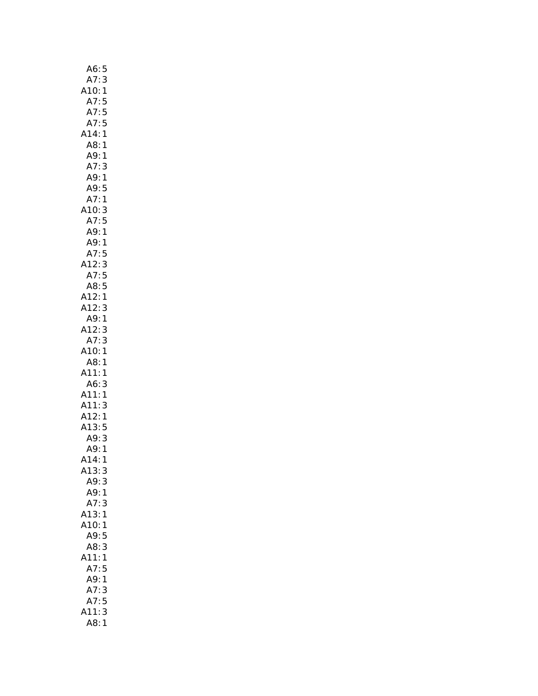| A6:5                                                          |
|---------------------------------------------------------------|
| A7:<br>3                                                      |
|                                                               |
| ں :<br>1 :A10<br>5 : - ^<br>- ^                               |
| / : 5<br>A7 : 5<br>14                                         |
|                                                               |
| A14:1                                                         |
| A8:1                                                          |
| A9:1                                                          |
|                                                               |
| A7:3                                                          |
| A9: 1                                                         |
| A9:5                                                          |
| A7:1                                                          |
| A10: 3                                                        |
| A7:5                                                          |
| A9:1                                                          |
| A9:1                                                          |
|                                                               |
|                                                               |
|                                                               |
|                                                               |
|                                                               |
| A9: 1<br>A7: 5<br>A12: 3<br>A7: 5<br>A3: 5<br>A12: 3<br>A0: 1 |
| A9:1                                                          |
|                                                               |
| A12:3                                                         |
| A7:3                                                          |
| A10:1                                                         |
| A8:1                                                          |
| A11:1                                                         |
| A6:3                                                          |
| A11:1                                                         |
|                                                               |
|                                                               |
|                                                               |
|                                                               |
| A11.3<br>A11:3<br>A12:1<br>A13:5<br>A9:3<br>A9:1              |
| A14:<br>1                                                     |
| A13:3                                                         |
| A9:3                                                          |
| A9:1                                                          |
| A7:<br>3                                                      |
| A13:1                                                         |
|                                                               |
| A10:1                                                         |
| A9:5                                                          |
| A8:3                                                          |
| A11:1                                                         |
| A7:5                                                          |
| A9:1                                                          |
| A7:<br>3                                                      |
| A7:5                                                          |
| 3<br>11:                                                      |
| A8:                                                           |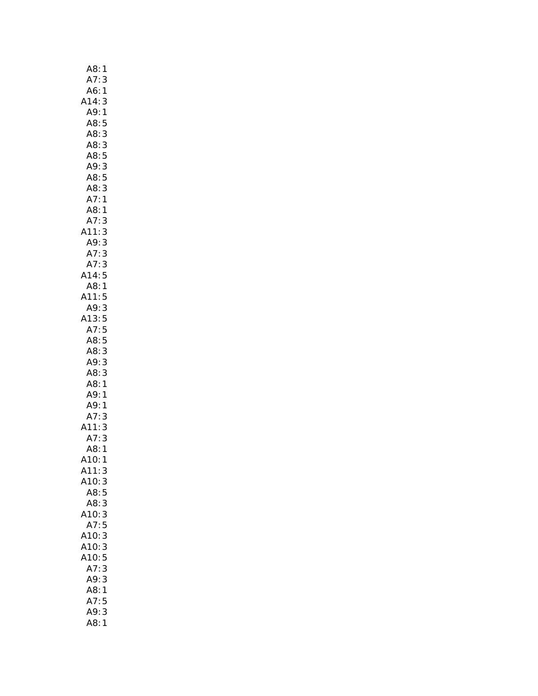| A8:<br>1               |
|------------------------|
| A7:<br>3               |
| A6:<br>1               |
| A14:<br>3              |
| A9:<br>1               |
| A8:<br>5               |
| 3<br>A8:               |
| A8:3                   |
| A8:5                   |
| A9:3                   |
| A8:5                   |
| A8:3                   |
| A7:1                   |
| A8:<br>1               |
| 3<br>A7:               |
| 3<br>3<br>A11:         |
|                        |
| A9:<br>A7:<br>^ 7<br>3 |
| A7:3                   |
| A14:5                  |
| A8:1                   |
| A11:5                  |
| A9: 3                  |
|                        |
| $13:5$<br>A7:5         |
| A8:5                   |
| A8:3                   |
| 3<br>A9:               |
| 3<br>A8:               |
| A8:1                   |
| A9:<br>1               |
| 1                      |
| A9:<br>A7:<br>3        |
| 3<br>11:               |
| A7:<br>3               |
| A8:1                   |
| A10:<br>1              |
| A11:<br>3              |
| A10: 3                 |
| A8:5                   |
| A8:3                   |
| A10:3                  |
| A7:5                   |
| A10:3                  |
| A10:<br>3              |
| A10:5                  |
| 3<br>A7:               |
| 3<br>A9:               |
| A8:<br>1               |
| 5<br>A7:               |
| A9:<br>3               |
| A8:<br>$\mathbf{1}$    |
|                        |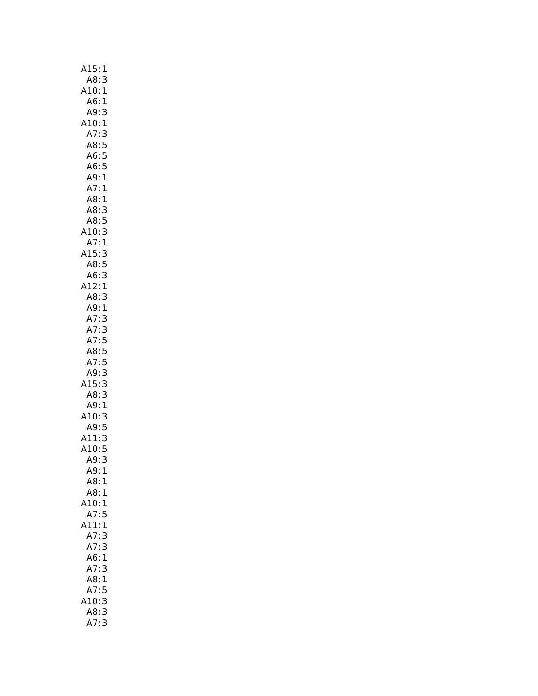| A15:<br>1                                                     |
|---------------------------------------------------------------|
| 3                                                             |
| :A8<br>:A10<br>1                                              |
| A6:<br>$\overline{\phantom{a}}$                               |
| A9:<br>3                                                      |
| A10:1                                                         |
|                                                               |
| A7:3<br>A8:5<br>A6:5<br>A6:5                                  |
|                                                               |
|                                                               |
| A9: 1<br>A7: 1                                                |
|                                                               |
| A8:<br>1                                                      |
| A8:<br>3                                                      |
| A8:<br>$\begin{array}{c} 5 \\ 3 \\ 1 \end{array}$             |
| A10:                                                          |
| A7:                                                           |
| A15:                                                          |
| $\frac{3}{5}$<br>A8:5<br>A6:3<br>A12:1                        |
|                                                               |
|                                                               |
| A8:<br>3<br>A9:1                                              |
| A7:<br>3                                                      |
| 3<br>A7:                                                      |
|                                                               |
| A7:5<br>A8:5<br>A7:5                                          |
|                                                               |
|                                                               |
| A9:<br>15:<br>$\begin{array}{c} 3 \\ 3 \\ 1 \\ 3 \end{array}$ |
| A8:                                                           |
| $A9$ :                                                        |
| A10:                                                          |
| A9:5                                                          |
| A11:                                                          |
| A11:3<br>A10:5                                                |
| A9:<br>3                                                      |
| A9:1                                                          |
| A8:<br>1                                                      |
| A8:<br>1                                                      |
| 10:<br>1                                                      |
| A7:5                                                          |
| 411:1                                                         |
| A7:<br>3                                                      |
| A7:<br>3                                                      |
| 1<br>A6:                                                      |
| A7:<br>3                                                      |
| A8:<br>1                                                      |
| 5<br>A7:                                                      |
|                                                               |
| 10:<br>3                                                      |
| A8:<br>3<br>A7:3                                              |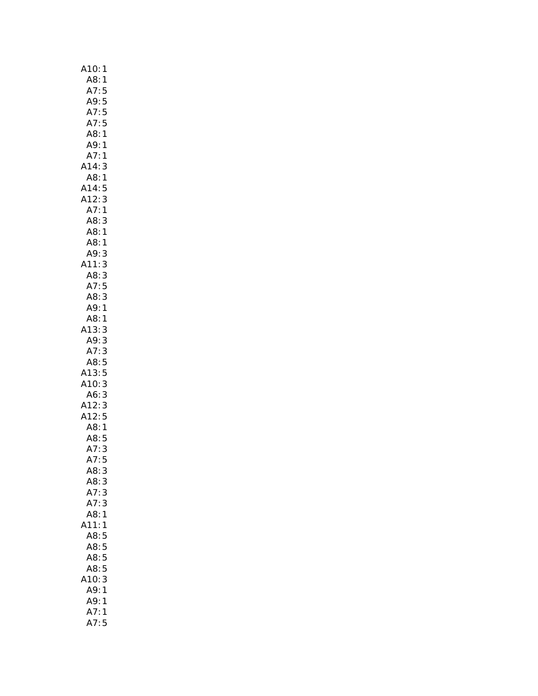| A10:<br>1                                |
|------------------------------------------|
| A8:1<br>A7:5                             |
|                                          |
| A9:5                                     |
| A7:5                                     |
| A7:<br>5                                 |
| A8:1                                     |
|                                          |
| A9: 1                                    |
| A7:1                                     |
| A14:3                                    |
| A8:1                                     |
| A14:5                                    |
| A12:3<br>A7:1                            |
|                                          |
| 3<br>A8:                                 |
| .<br>A8:1                                |
| A8:<br>1                                 |
| A9:                                      |
| A11:                                     |
|                                          |
|                                          |
| A9:3<br>.11:3<br>A8:3<br>A7:5            |
| A8:3                                     |
| A9:1                                     |
| A8:1                                     |
| A13:3                                    |
| A9: 3                                    |
| A7:3                                     |
|                                          |
| A8:5<br>A13:5                            |
| A13.3<br>A10:3<br>A6:3<br>A12:3<br>A12:5 |
|                                          |
|                                          |
|                                          |
|                                          |
| A8:1                                     |
| A8:5                                     |
| A7:3                                     |
| A7:5                                     |
| A8:<br>3                                 |
| A8:3                                     |
| A7:<br>3                                 |
| A7:3                                     |
| A8:1                                     |
|                                          |
| 11:1                                     |
| A8:5                                     |
| A8:5                                     |
| A8:5                                     |
| A8:5                                     |
| 10:<br>3                                 |
| A9:<br>1                                 |
| A9:<br>1                                 |
| A7:<br>1                                 |
| A7:<br>5                                 |
|                                          |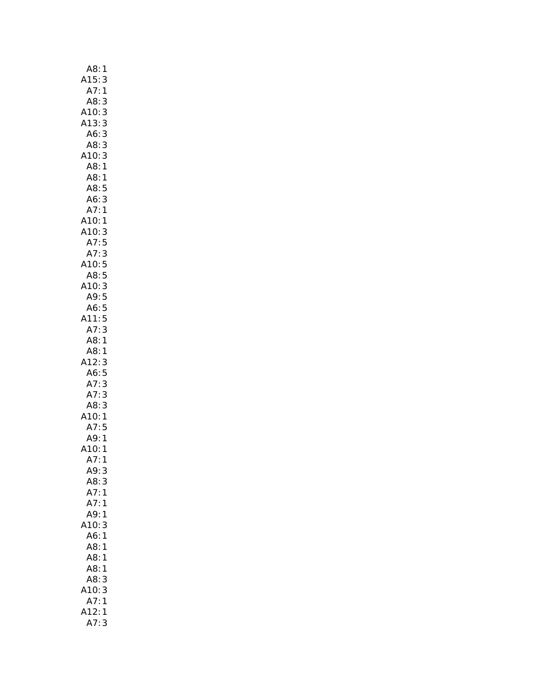| A8:<br>1                     |
|------------------------------|
| A15:<br>3                    |
| A7:<br>1                     |
| A8:<br>3                     |
| A10:<br>3                    |
| A13:<br>3                    |
| A6:<br>3                     |
| 3<br>A8:                     |
| 3<br>A10:                    |
| A8:1                         |
| A8:1                         |
| A8:5                         |
| A6:3                         |
| A7:1                         |
| A10:<br>1                    |
| A<br>A10:3<br>A7:5           |
|                              |
| A7:<br>A7:<br>$\overline{3}$ |
| A10:5                        |
| AB:<br>$\frac{5}{2}$         |
| A10:3                        |
| A9:5                         |
| A6:5                         |
| A11:<br>5                    |
| 3                            |
| A7:<br>A8:1                  |
|                              |
| A8:1                         |
| A12:<br>3                    |
| A6:5<br>A7:3                 |
|                              |
| A7:3                         |
| A8:<br>3                     |
| A10:<br>$\mathbf{1}$         |
| A7:<br>5                     |
| A9:1                         |
| A10:1                        |
| A7:<br>1                     |
| A9:<br>3                     |
| A8:<br>3                     |
| A7:<br>1                     |
| A7:<br>$\mathbf{1}$          |
| A9:<br>$\mathbf{1}$          |
| 10:<br>3                     |
| A6:<br>1                     |
| A8:<br>1                     |
| A8:<br>1                     |
| A8:<br>1                     |
| A8:<br>3                     |
| 10:<br>3                     |
| A7:<br>$\mathbf{1}$          |
| 412:<br>1                    |
| A7:<br>3                     |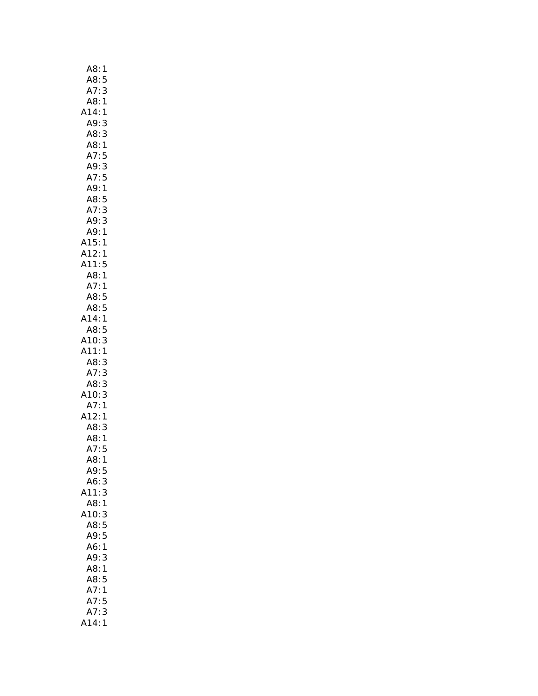| 1<br>A8:                                                                                                                                           |  |
|----------------------------------------------------------------------------------------------------------------------------------------------------|--|
| A8:5                                                                                                                                               |  |
| A7:<br>3                                                                                                                                           |  |
| A8:1                                                                                                                                               |  |
| A14:<br>$\mathbf{1}$                                                                                                                               |  |
| A9:3                                                                                                                                               |  |
| A8:<br>3                                                                                                                                           |  |
| A8:<br>$\mathbf{1}$                                                                                                                                |  |
| A7:<br>5                                                                                                                                           |  |
| A9:3                                                                                                                                               |  |
| A7:5                                                                                                                                               |  |
| A9:1                                                                                                                                               |  |
|                                                                                                                                                    |  |
|                                                                                                                                                    |  |
| A <sub>2</sub> : 5<br>A <sub>8: 5</sub><br>A <sub>9: 3</sub><br>A <sub>9: 3</sub><br>A <sub>9: 1</sub><br>A <sub>15: 1</sub><br>A <sub>11: 5</sub> |  |
|                                                                                                                                                    |  |
|                                                                                                                                                    |  |
|                                                                                                                                                    |  |
|                                                                                                                                                    |  |
| A8:1<br>A7:1                                                                                                                                       |  |
| A8:5                                                                                                                                               |  |
| A8:5                                                                                                                                               |  |
| A14:1                                                                                                                                              |  |
| A8:5                                                                                                                                               |  |
| A10:<br>3                                                                                                                                          |  |
| A11:<br>$\mathbf{1}$                                                                                                                               |  |
| A8:<br>3                                                                                                                                           |  |
|                                                                                                                                                    |  |
|                                                                                                                                                    |  |
|                                                                                                                                                    |  |
| A7: 3<br>A8: 3<br>A10: 3<br>A7: 1<br>A12: 1<br>A8: 3<br>A8: 1<br>A7: 5                                                                             |  |
|                                                                                                                                                    |  |
|                                                                                                                                                    |  |
|                                                                                                                                                    |  |
|                                                                                                                                                    |  |
| A8:<br>1                                                                                                                                           |  |
| A9:<br>5                                                                                                                                           |  |
| A6:<br>3                                                                                                                                           |  |
| 3<br>11:                                                                                                                                           |  |
| A8:1                                                                                                                                               |  |
| 410:3                                                                                                                                              |  |
| A8:5                                                                                                                                               |  |
| A9:5                                                                                                                                               |  |
| $\mathbf{1}$<br>A6:                                                                                                                                |  |
| A9:3                                                                                                                                               |  |
| A8:<br>1<br>A8:                                                                                                                                    |  |
| 5                                                                                                                                                  |  |
| A7:1                                                                                                                                               |  |
| A7:5<br>A7:3                                                                                                                                       |  |
| A14:1                                                                                                                                              |  |
|                                                                                                                                                    |  |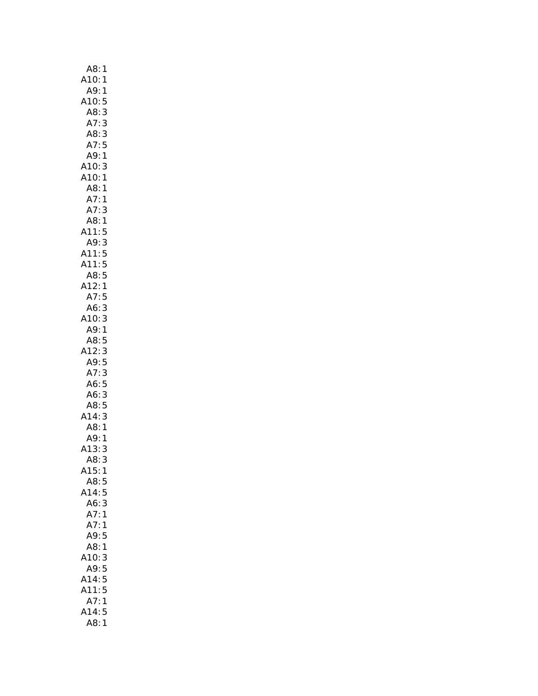| A8:<br>1                  |
|---------------------------|
| A10:<br>1                 |
| $A9$ :<br>1               |
| A10:<br>5                 |
| A8:<br>3                  |
| A7:<br>3                  |
| A8:3                      |
| A7:<br>5                  |
| A9: 1                     |
| A10:                      |
| 3                         |
| A10:1                     |
| A8: 1                     |
| A7:1                      |
| A7:<br>3                  |
| A8:<br>1                  |
| A11:<br>5                 |
| A9: 3<br>A11: 5<br>A11: 5 |
|                           |
|                           |
|                           |
| A8: 5<br>A12: 1           |
| A7:<br>5                  |
|                           |
| A6:3                      |
| A10:3                     |
| A9:1                      |
|                           |
| A8:5                      |
| A12:<br>3                 |
| A9:5                      |
|                           |
| A7:<br>3                  |
| A6:5                      |
| 3<br>A6:                  |
| A8:5                      |
| 3<br>A14:                 |
| A8:<br>$\mathbf{1}$       |
| A9:<br>1                  |
| A13:<br>3                 |
| A8:<br>3                  |
| A15:<br>$\mathbf{1}$      |
| A8:<br>5                  |
| 414:<br>5                 |
| A6:<br>3                  |
| A7:<br>$\mathbf{1}$       |
| A7:<br>1                  |
| A9:<br>5                  |
| A8:<br>$\mathbf{1}$       |
| 10:<br>3                  |
|                           |
| A9:<br>5                  |
| A14:<br>5                 |
| A11:<br>5                 |
| A7:<br>1                  |
| 5<br>A14:<br>A8:<br>1     |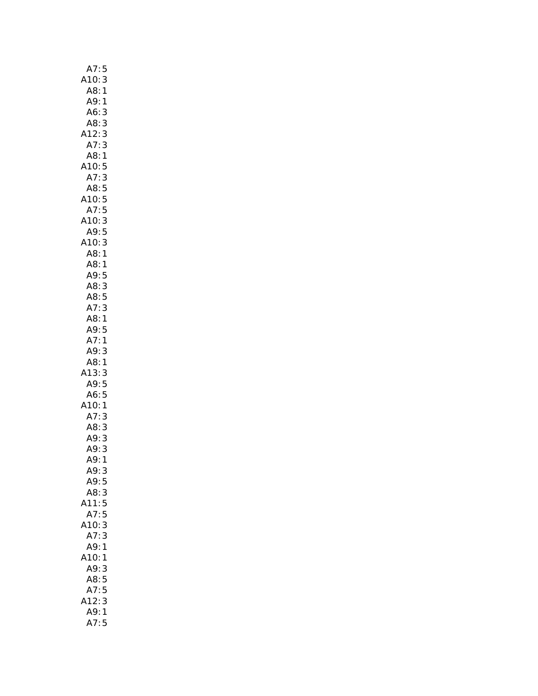| A7:5                  |
|-----------------------|
| A10:<br>3             |
| A8<br>$\mathbf{1}$    |
| A9:<br>1              |
| A6:<br>3              |
| A8:<br>3              |
| A12:3                 |
|                       |
| A7:3                  |
| A8:1                  |
| A10:5                 |
| A7:3                  |
| A8:5<br>A10:5<br>A7:5 |
|                       |
|                       |
| A10:3                 |
| A9:5                  |
| 3<br>1<br>A10:        |
| A8                    |
| A8:                   |
| 1                     |
| .<br>A9: 5            |
| A8:3<br>A8:5          |
|                       |
| A7:3                  |
| A8:1                  |
| A9:5                  |
| A7:1                  |
| A9:<br>3              |
| A8:1                  |
| 3<br>13:              |
|                       |
| A9: 5<br>A6: 5        |
|                       |
| A10:1                 |
| 3<br>A7:              |
| A8:<br>3              |
| 3<br>A9:              |
| A9:<br>3              |
| A9:<br>1              |
| A9:3                  |
| 5<br>A9:              |
| A8:3                  |
| 5<br>A11:             |
|                       |
| A7:<br>5              |
| 3<br>410:             |
| A7:<br>3              |
| A9:1                  |
| A10:1                 |
| A9:<br>3              |
| A8:5                  |
| A7:5                  |
| 3<br>12:              |
| A9:<br>$\mathbf{1}$   |
| A7:5                  |
|                       |